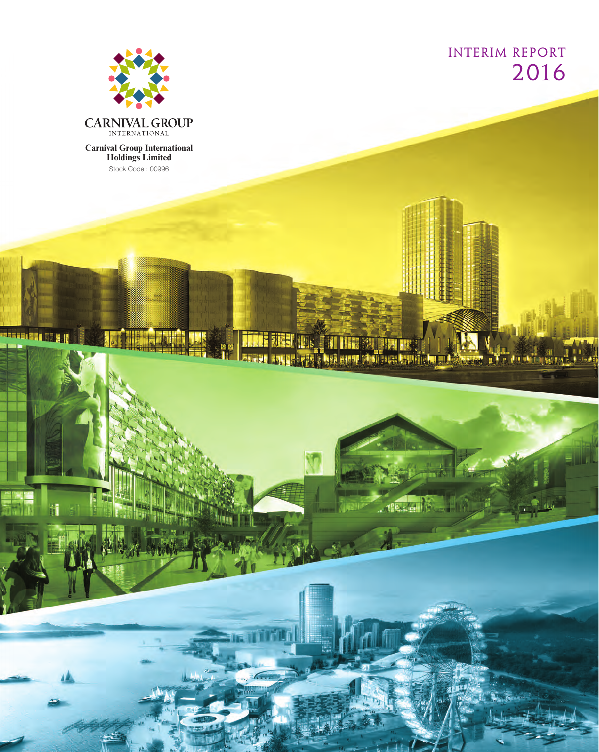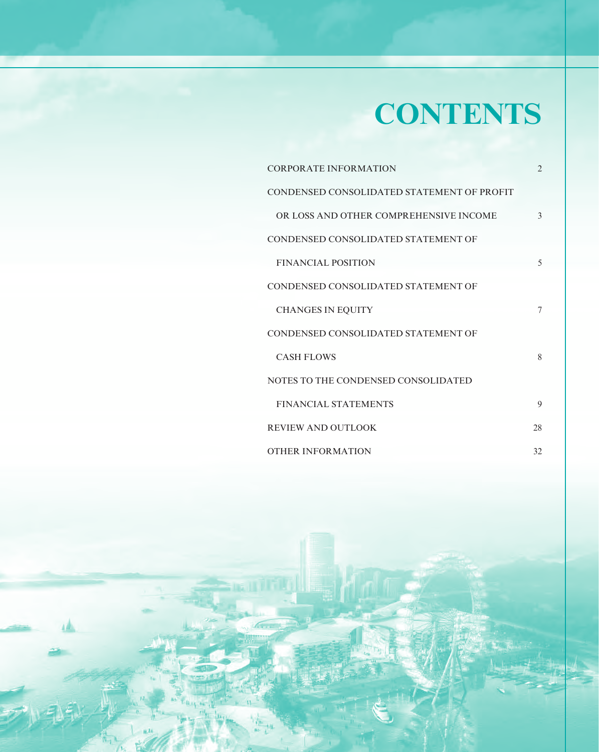# **CONTENTS**

| <b>CORPORATE INFORMATION</b>               | $\overline{2}$ |
|--------------------------------------------|----------------|
| CONDENSED CONSOLIDATED STATEMENT OF PROFIT |                |
| OR LOSS AND OTHER COMPREHENSIVE INCOME     | $\mathcal{E}$  |
| CONDENSED CONSOLIDATED STATEMENT OF        |                |
| <b>FINANCIAL POSITION</b>                  | 5              |
| CONDENSED CONSOLIDATED STATEMENT OF        |                |
| <b>CHANGES IN EQUITY</b>                   | 7              |
| CONDENSED CONSOLIDATED STATEMENT OF        |                |
| <b>CASH FLOWS</b>                          | 8              |
| NOTES TO THE CONDENSED CONSOLIDATED        |                |
| <b>FINANCIAL STATEMENTS</b>                | 9              |
| <b>REVIEW AND OUTLOOK</b>                  | 28             |
| <b>OTHER INFORMATION</b>                   | 32             |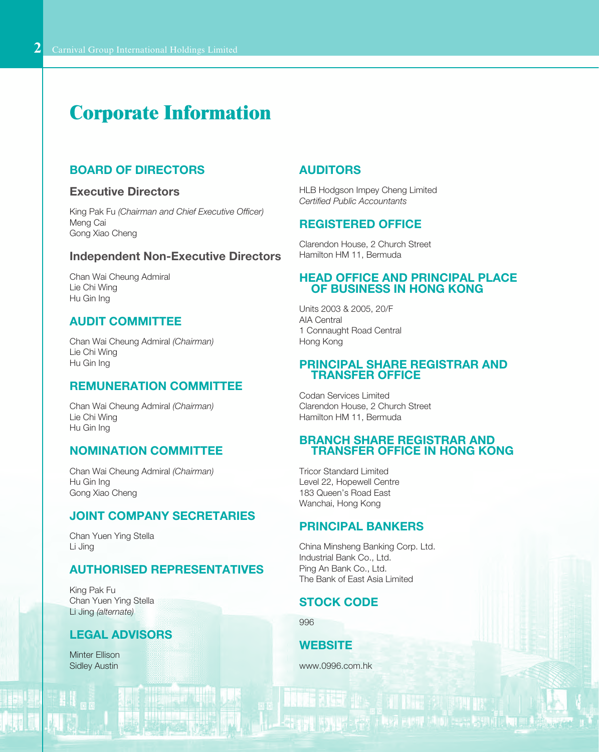# **Corporate Information**

#### BOARD OF DIRECTORS

#### Executive Directors

King Pak Fu *(Chairman and Chief Executive Officer)* Meng Cai Gong Xiao Cheng

#### Independent Non-Executive Directors

Chan Wai Cheung Admiral Lie Chi Wing Hu Gin Ing

#### AUDIT COMMITTEE

Chan Wai Cheung Admiral *(Chairman)* Lie Chi Wing Hu Gin Ing

#### REMUNERATION COMMITTEE

Chan Wai Cheung Admiral *(Chairman)* Lie Chi Wing Hu Gin Ing

### NOMINATION COMMITTEE

Chan Wai Cheung Admiral *(Chairman)* Hu Gin Ing Gong Xiao Cheng

### JOINT COMPANY SECRETARIES

Chan Yuen Ying Stella Li Jing

### AUTHORISED REPRESENTATIVES

King Pak Fu Chan Yuen Ying Stella Li Jing *(alternate)*

#### LEGAL ADVISORS

Minter Ellison Sidley Austin

#### AUDITORS

HLB Hodgson Impey Cheng Limited *Certified Public Accountants*

### REGISTERED OFFICE

Clarendon House, 2 Church Street Hamilton HM 11, Bermuda

#### HEAD OFFICE AND PRINCIPAL PLACE OF BUSINESS IN HONG KONG

Units 2003 & 2005, 20/F AIA Central 1 Connaught Road Central Hong Kong

#### PRINCIPAL SHARE REGISTRAR AND TRANSFER OFFICE

Codan Services Limited Clarendon House, 2 Church Street Hamilton HM 11, Bermuda

#### BRANCH SHARE REGISTRAR AND TRANSFER OFFICE IN HONG KONG

Tricor Standard Limited Level 22, Hopewell Centre 183 Queen's Road East Wanchai, Hong Kong

### PRINCIPAL BANKERS

China Minsheng Banking Corp. Ltd. Industrial Bank Co., Ltd. Ping An Bank Co., Ltd. The Bank of East Asia Limited

#### STOCK CODE

996

### **WEBSITE**

www.0996.com.hk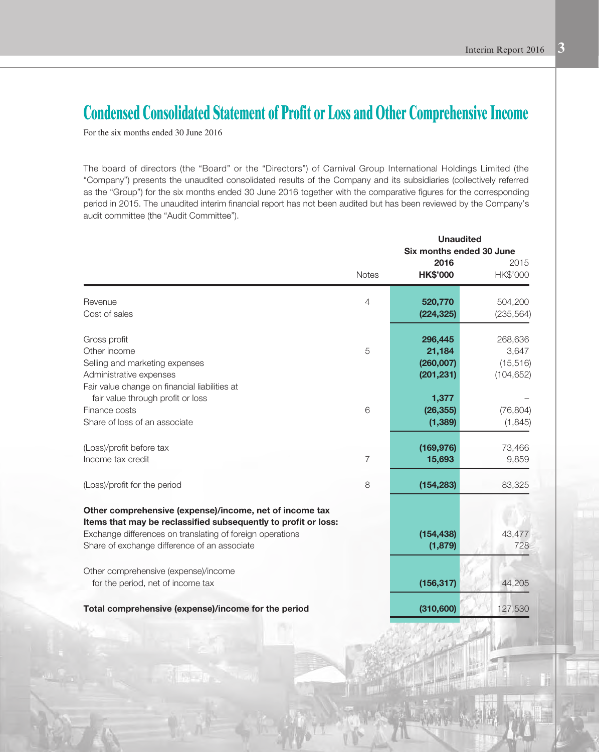# **Condensed Consolidated Statement of Profit or Loss and Other Comprehensive Income**

For the six months ended 30 June 2016

The board of directors (the "Board" or the "Directors") of Carnival Group International Holdings Limited (the "Company") presents the unaudited consolidated results of the Company and its subsidiaries (collectively referred as the "Group") for the six months ended 30 June 2016 together with the comparative figures for the corresponding period in 2015. The unaudited interim financial report has not been audited but has been reviewed by the Company's audit committee (the "Audit Committee").

|                                                                                                                                                                                                                                        |                | <b>Unaudited</b><br>Six months ended 30 June |                                             |  |
|----------------------------------------------------------------------------------------------------------------------------------------------------------------------------------------------------------------------------------------|----------------|----------------------------------------------|---------------------------------------------|--|
|                                                                                                                                                                                                                                        | <b>Notes</b>   | 2016<br><b>HK\$'000</b>                      | 2015<br>HK\$'000                            |  |
| Revenue<br>Cost of sales                                                                                                                                                                                                               | $\overline{4}$ | 520,770<br>(224, 325)                        | 504,200<br>(235, 564)                       |  |
| Gross profit<br>Other income<br>Selling and marketing expenses<br>Administrative expenses<br>Fair value change on financial liabilities at                                                                                             | 5              | 296,445<br>21,184<br>(260,007)<br>(201, 231) | 268,636<br>3,647<br>(15, 516)<br>(104, 652) |  |
| fair value through profit or loss<br>Finance costs<br>Share of loss of an associate                                                                                                                                                    | 6              | 1,377<br>(26, 355)<br>(1, 389)               | (76, 804)<br>(1, 845)                       |  |
| (Loss)/profit before tax<br>Income tax credit                                                                                                                                                                                          | $\overline{7}$ | (169, 976)<br>15,693                         | 73,466<br>9,859                             |  |
| (Loss)/profit for the period                                                                                                                                                                                                           | 8              | (154, 283)                                   | 83,325                                      |  |
| Other comprehensive (expense)/income, net of income tax<br>Items that may be reclassified subsequently to profit or loss:<br>Exchange differences on translating of foreign operations<br>Share of exchange difference of an associate |                | (154, 438)<br>(1,879)                        | 43,477<br>728                               |  |
| Other comprehensive (expense)/income<br>for the period, net of income tax                                                                                                                                                              |                | (156, 317)                                   | 44,205                                      |  |
| Total comprehensive (expense)/income for the period                                                                                                                                                                                    |                | (310,600)                                    | 127,530                                     |  |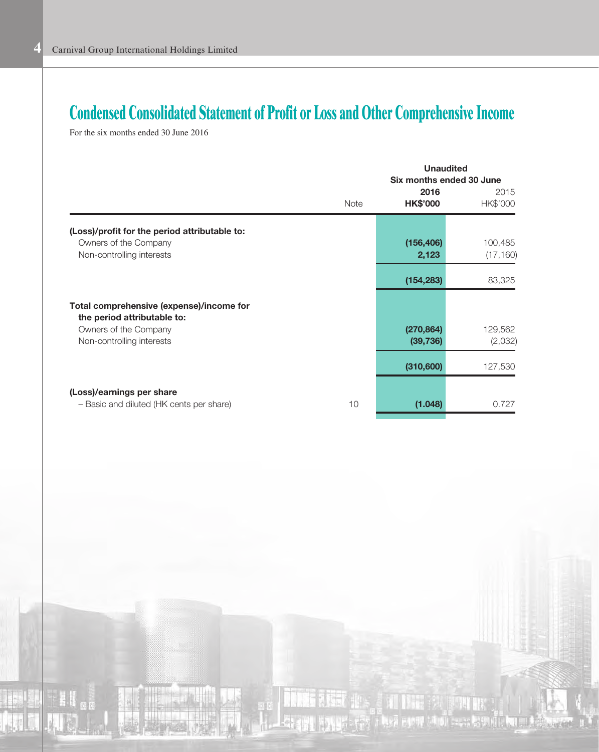# **Condensed Consolidated Statement of Profit or Loss and Other Comprehensive Income**

For the six months ended 30 June 2016

|                                                                         |             | <b>Unaudited</b><br>Six months ended 30 June |                  |  |
|-------------------------------------------------------------------------|-------------|----------------------------------------------|------------------|--|
|                                                                         | <b>Note</b> | 2016<br><b>HK\$'000</b>                      | 2015<br>HK\$'000 |  |
| (Loss)/profit for the period attributable to:                           |             |                                              |                  |  |
| Owners of the Company                                                   |             | (156, 406)                                   | 100,485          |  |
| Non-controlling interests                                               |             | 2,123                                        | (17, 160)        |  |
|                                                                         |             | (154, 283)                                   | 83,325           |  |
| Total comprehensive (expense)/income for<br>the period attributable to: |             |                                              |                  |  |
| Owners of the Company                                                   |             | (270, 864)                                   | 129,562          |  |
| Non-controlling interests                                               |             | (39, 736)                                    | (2,032)          |  |
|                                                                         |             | (310,600)                                    | 127,530          |  |
| (Loss)/earnings per share                                               |             |                                              |                  |  |
| - Basic and diluted (HK cents per share)                                | 10          | (1.048)                                      | 0.727            |  |
|                                                                         |             |                                              |                  |  |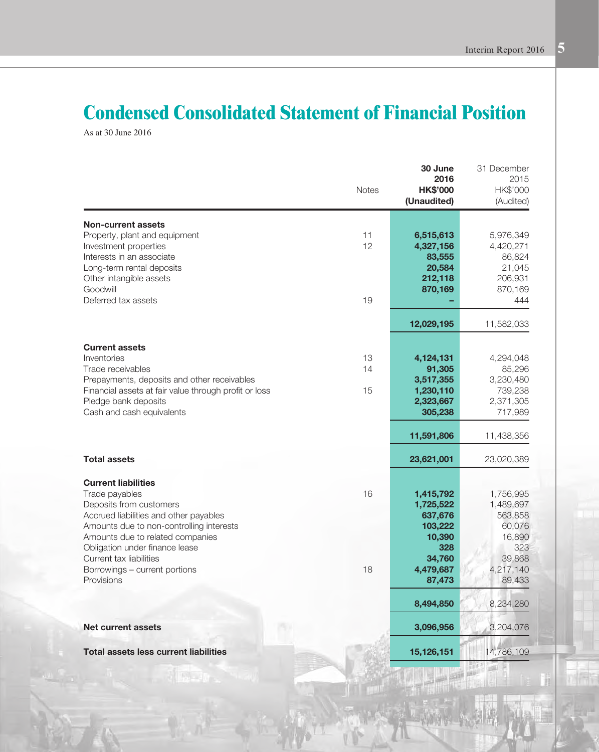# **Condensed Consolidated Statement of Financial Position**

As at 30 June 2016

|                                                                                                                                                                                                                                                                | <b>Notes</b>   | 30 June<br>2016<br><b>HK\$'000</b><br>(Unaudited)                       | 31 December<br>2015<br>HK\$'000<br>(Audited)                            |
|----------------------------------------------------------------------------------------------------------------------------------------------------------------------------------------------------------------------------------------------------------------|----------------|-------------------------------------------------------------------------|-------------------------------------------------------------------------|
| <b>Non-current assets</b><br>Property, plant and equipment<br>Investment properties<br>Interests in an associate<br>Long-term rental deposits<br>Other intangible assets<br>Goodwill<br>Deferred tax assets                                                    | 11<br>12<br>19 | 6,515,613<br>4,327,156<br>83,555<br>20,584<br>212,118<br>870,169        | 5,976,349<br>4,420,271<br>86,824<br>21,045<br>206,931<br>870,169<br>444 |
|                                                                                                                                                                                                                                                                |                | 12,029,195                                                              | 11,582,033                                                              |
| <b>Current assets</b><br>Inventories<br>Trade receivables<br>Prepayments, deposits and other receivables<br>Financial assets at fair value through profit or loss<br>Pledge bank deposits<br>Cash and cash equivalents                                         | 13<br>14<br>15 | 4,124,131<br>91,305<br>3,517,355<br>1,230,110<br>2,323,667<br>305,238   | 4,294,048<br>85,296<br>3,230,480<br>739,238<br>2,371,305<br>717,989     |
|                                                                                                                                                                                                                                                                |                | 11,591,806                                                              | 11,438,356                                                              |
| <b>Total assets</b>                                                                                                                                                                                                                                            |                | 23,621,001                                                              | 23,020,389                                                              |
| <b>Current liabilities</b><br>Trade payables<br>Deposits from customers<br>Accrued liabilities and other payables<br>Amounts due to non-controlling interests<br>Amounts due to related companies<br>Obligation under finance lease<br>Current tax liabilities | 16             | 1,415,792<br>1,725,522<br>637,676<br>103,222<br>10,390<br>328<br>34,760 | 1,756,995<br>1,489,697<br>563,858<br>60,076<br>16,890<br>323<br>39,868  |
| Borrowings - current portions<br>Provisions                                                                                                                                                                                                                    | 18             | 4,479,687<br>87,473                                                     | 4,217,140<br>89,433                                                     |
|                                                                                                                                                                                                                                                                |                | 8,494,850                                                               | 8,234,280                                                               |
| <b>Net current assets</b>                                                                                                                                                                                                                                      |                | 3,096,956                                                               | 3,204,076                                                               |
| <b>Total assets less current liabilities</b>                                                                                                                                                                                                                   |                | 15,126,151                                                              | 14,786,109                                                              |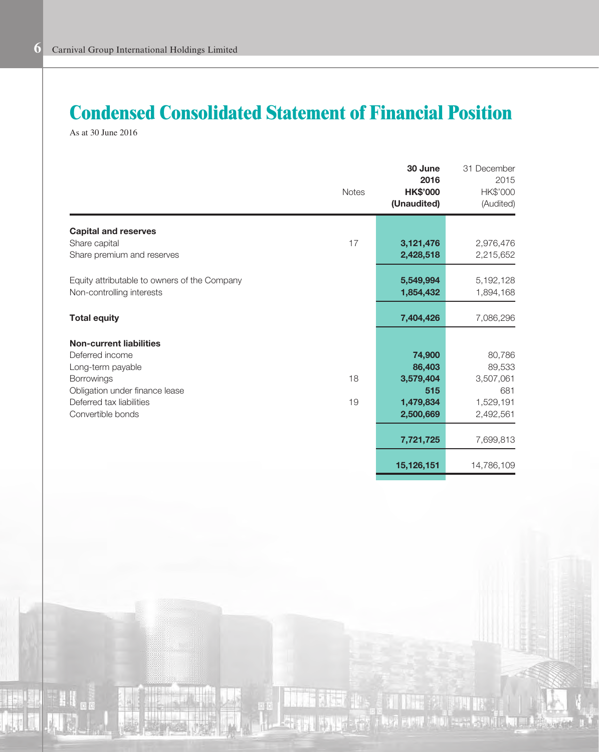# **Condensed Consolidated Statement of Financial Position**

As at 30 June 2016

| <b>Notes</b> | 30 June<br>2016<br><b>HK\$'000</b><br>(Unaudited) | 31 December<br>2015<br>HK\$'000<br>(Audited) |
|--------------|---------------------------------------------------|----------------------------------------------|
| 17           | 3,121,476                                         | 2,976,476                                    |
|              | 2,428,518                                         | 2,215,652                                    |
|              | 5,549,994<br>1,854,432                            | 5,192,128<br>1,894,168                       |
|              | 7,404,426                                         | 7,086,296                                    |
|              |                                                   |                                              |
|              | 74,900                                            | 80,786                                       |
|              | 86,403                                            | 89,533                                       |
|              |                                                   | 3,507,061                                    |
|              |                                                   | 681<br>1,529,191                             |
|              | 2,500,669                                         | 2,492,561                                    |
|              | 7,721,725                                         | 7,699,813                                    |
|              | 15,126,151                                        | 14,786,109                                   |
|              | 18<br>19                                          | 3,579,404<br>515<br>1,479,834                |

<u>NM AG</u>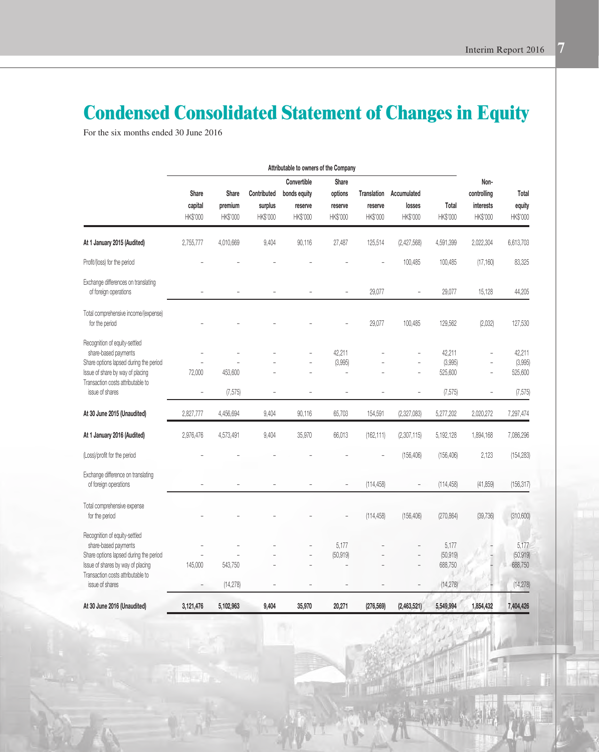# **Condensed Consolidated Statement of Changes in Equity**

For the six months ended 30 June 2016

| <b>Share</b>        |                                     |                                    | Convertible                         |                                |                                           |                                   |                               |                                      |                               |
|---------------------|-------------------------------------|------------------------------------|-------------------------------------|--------------------------------|-------------------------------------------|-----------------------------------|-------------------------------|--------------------------------------|-------------------------------|
|                     |                                     |                                    |                                     |                                | <b>Share</b>                              |                                   |                               | Non-                                 |                               |
| capital<br>HK\$'000 | <b>Share</b><br>premium<br>HK\$'000 | Contributed<br>surplus<br>HK\$'000 | bonds equity<br>reserve<br>HK\$'000 | options<br>reserve<br>HK\$'000 | <b>Translation</b><br>reserve<br>HK\$'000 | Accumulated<br>losses<br>HK\$'000 | Total<br>HK\$'000             | controlling<br>interests<br>HK\$'000 | Total<br>equity<br>HK\$'000   |
| 2,755,777           | 4,010,669                           | 9,404                              | 90,116                              | 27,487                         | 125,514                                   | (2,427,568)                       | 4,591,399                     | 2,022,304                            | 6,613,703                     |
|                     |                                     |                                    |                                     |                                |                                           | 100,485                           | 100,485                       | (17, 160)                            | 83,325                        |
|                     |                                     |                                    |                                     |                                | 29,077                                    |                                   | 29,077                        | 15,128                               | 44,205                        |
|                     |                                     |                                    |                                     |                                | 29,077                                    | 100,485                           | 129,562                       | (2,032)                              | 127,530                       |
| 72,000              | 453,600                             |                                    |                                     | 42,211<br>(3,995)<br>۳         |                                           |                                   | 42,211<br>(3,995)<br>525,600  |                                      | 42,211<br>(3,995)<br>525,600  |
| Ĭ.                  | (7, 575)                            |                                    |                                     | L,                             |                                           |                                   | (7,575)                       | $\overline{a}$                       | (7, 575)                      |
| 2,827,777           | 4,456,694                           | 9,404                              | 90,116                              | 65,703                         | 154,591                                   | (2,327,083)                       | 5,277,202                     | 2,020,272                            | 7,297,474                     |
| 2,976,476           | 4,573,491                           | 9,404                              | 35,970                              | 66,013                         | (162, 111)                                | (2,307,115)                       | 5,192,128                     | 1,894,168                            | 7,086,296                     |
|                     |                                     |                                    |                                     |                                |                                           | (156, 406)                        | (156, 406)                    | 2,123                                | (154, 283)                    |
|                     |                                     |                                    |                                     | $\overline{\phantom{0}}$       | (114, 458)                                |                                   | (114, 458)                    | (41, 859)                            | (156, 317)                    |
|                     |                                     |                                    |                                     |                                | (114, 458)                                | (156, 406)                        | (270, 864)                    | (39, 736)                            | (310,600)                     |
| 145,000             | 543,750                             |                                    |                                     | 5,177<br>(50, 919)<br>۳        |                                           |                                   | 5,177<br>(50, 919)<br>688,750 |                                      | 5,177<br>(50, 919)<br>688,750 |
|                     | (14, 278)                           |                                    |                                     |                                |                                           | $\overline{a}$                    | (14, 278)                     |                                      | (14, 278)                     |
| 3,121,476           | 5,102,963                           | 9,404                              | 35,970                              | 20,271                         | (276, 569)                                | (2,463,521)                       | 5,549,994                     | 1,854,432                            | 7,404,426                     |
|                     |                                     |                                    |                                     |                                |                                           |                                   |                               |                                      |                               |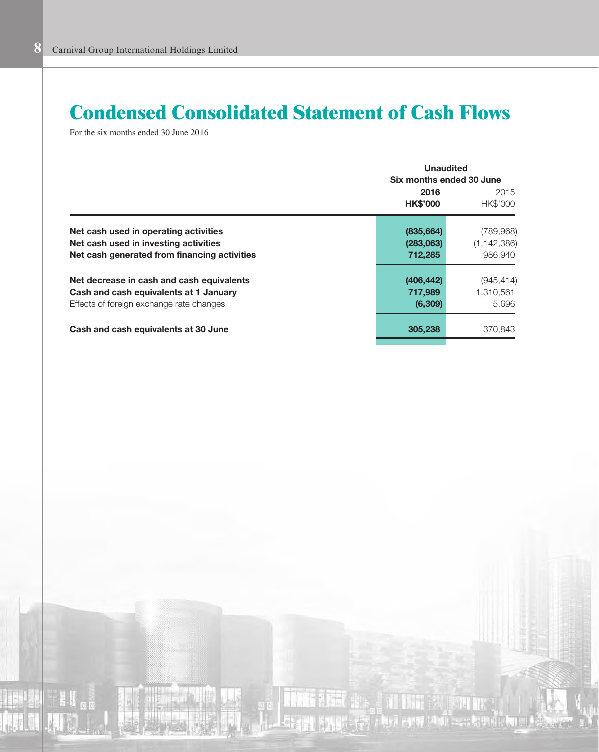# **Condensed Consolidated Statement of Cash Flows**

For the six months ended 30 June 2016

|                                                                                                                                 | <b>Unaudited</b><br>Six months ended 30 June |                                       |  |
|---------------------------------------------------------------------------------------------------------------------------------|----------------------------------------------|---------------------------------------|--|
|                                                                                                                                 | 2016<br><b>HK\$'000</b>                      | 2015<br>HK\$'000                      |  |
| Net cash used in operating activities<br>Net cash used in investing activities<br>Net cash generated from financing activities  | (835, 664)<br>(283,063)<br>712,285           | (789,968)<br>(1, 142, 386)<br>986.940 |  |
| Net decrease in cash and cash equivalents<br>Cash and cash equivalents at 1 January<br>Effects of foreign exchange rate changes | (406, 442)<br>717,989<br>(6, 309)            | (945, 414)<br>1,310,561<br>5.696      |  |
| Cash and cash equivalents at 30 June                                                                                            | 305,238                                      | 370,843                               |  |

# **1. 清洁 引起司**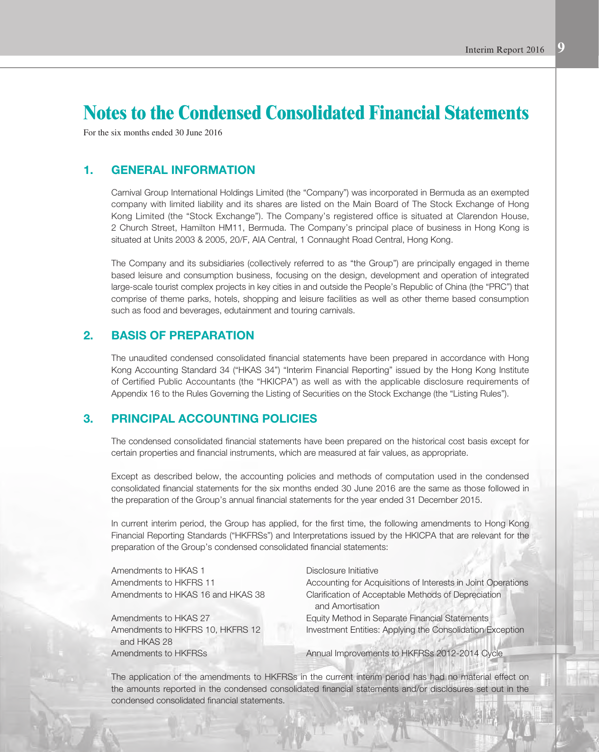For the six months ended 30 June 2016

### 1. GENERAL INFORMATION

Carnival Group International Holdings Limited (the "Company") was incorporated in Bermuda as an exempted company with limited liability and its shares are listed on the Main Board of The Stock Exchange of Hong Kong Limited (the "Stock Exchange"). The Company's registered office is situated at Clarendon House, 2 Church Street, Hamilton HM11, Bermuda. The Company's principal place of business in Hong Kong is situated at Units 2003 & 2005, 20/F, AIA Central, 1 Connaught Road Central, Hong Kong.

The Company and its subsidiaries (collectively referred to as "the Group") are principally engaged in theme based leisure and consumption business, focusing on the design, development and operation of integrated large-scale tourist complex projects in key cities in and outside the People's Republic of China (the "PRC") that comprise of theme parks, hotels, shopping and leisure facilities as well as other theme based consumption such as food and beverages, edutainment and touring carnivals.

#### 2. BASIS OF PREPARATION

The unaudited condensed consolidated financial statements have been prepared in accordance with Hong Kong Accounting Standard 34 ("HKAS 34") "Interim Financial Reporting" issued by the Hong Kong Institute of Certified Public Accountants (the "HKICPA") as well as with the applicable disclosure requirements of Appendix 16 to the Rules Governing the Listing of Securities on the Stock Exchange (the "Listing Rules").

### 3. PRINCIPAL ACCOUNTING POLICIES

The condensed consolidated financial statements have been prepared on the historical cost basis except for certain properties and financial instruments, which are measured at fair values, as appropriate.

Except as described below, the accounting policies and methods of computation used in the condensed consolidated financial statements for the six months ended 30 June 2016 are the same as those followed in the preparation of the Group's annual financial statements for the year ended 31 December 2015.

In current interim period, the Group has applied, for the first time, the following amendments to Hong Kong Financial Reporting Standards ("HKFRSs") and Interpretations issued by the HKICPA that are relevant for the preparation of the Group's condensed consolidated financial statements:

Amendments to HKAS 1 Disclosure Initiative

and HKAS 28

Amendments to HKFRS 11 Accounting for Acquisitions of Interests in Joint Operations Amendments to HKAS 16 and HKAS 38 Clarification of Acceptable Methods of Depreciation and Amortisation Amendments to HKAS 27 Equity Method in Separate Financial Statements Amendments to HKFRS 10, HKFRS 12 Investment Entities: Applying the Consolidation Exception

Amendments to HKFRSs **Annual Improvements to HKFRSs** 2012-2014 Cycle

The application of the amendments to HKFRSs in the current interim period has had no material effect on the amounts reported in the condensed consolidated financial statements and/or disclosures set out in the condensed consolidated financial statements.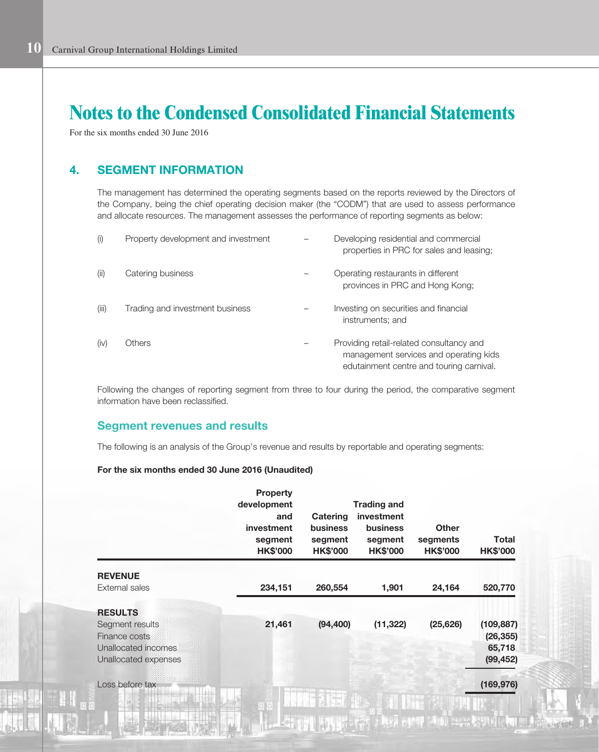For the six months ended 30 June 2016

### 4. SEGMENT INFORMATION

The management has determined the operating segments based on the reports reviewed by the Directors of the Company, being the chief operating decision maker (the "CODM") that are used to assess performance and allocate resources. The management assesses the performance of reporting segments as below:

| (i)   | Property development and investment | Developing residential and commercial<br>properties in PRC for sales and leasing;                                              |
|-------|-------------------------------------|--------------------------------------------------------------------------------------------------------------------------------|
| (ii)  | Catering business                   | Operating restaurants in different<br>provinces in PRC and Hong Kong;                                                          |
| (iii) | Trading and investment business     | Investing on securities and financial<br>instruments; and                                                                      |
| (iv)  | Others                              | Providing retail-related consultancy and<br>management services and operating kids<br>edutainment centre and touring carnival. |

Following the changes of reporting segment from three to four during the period, the comparative segment information have been reclassified.

### Segment revenues and results

The following is an analysis of the Group's revenue and results by reportable and operating segments:

#### For the six months ended 30 June 2016 (Unaudited)

|                      | <b>Property</b><br>development<br>and<br>investment<br>segment<br><b>HK\$'000</b> | Catering<br><b>business</b><br>segment<br><b>HK\$'000</b> | <b>Trading and</b><br>investment<br><b>business</b><br>segment<br><b>HK\$'000</b> | <b>Other</b><br>segments<br><b>HK\$'000</b> | Total<br><b>HK\$'000</b> |
|----------------------|-----------------------------------------------------------------------------------|-----------------------------------------------------------|-----------------------------------------------------------------------------------|---------------------------------------------|--------------------------|
|                      |                                                                                   |                                                           |                                                                                   |                                             |                          |
| <b>REVENUE</b>       |                                                                                   |                                                           |                                                                                   |                                             |                          |
| External sales       | 234,151                                                                           | 260,554                                                   | 1,901                                                                             | 24,164                                      | 520,770                  |
| <b>RESULTS</b>       |                                                                                   |                                                           |                                                                                   |                                             |                          |
| Segment results      | 21,461                                                                            | (94, 400)                                                 | (11, 322)                                                                         | (25, 626)                                   | (109, 887)               |
| Finance costs        |                                                                                   |                                                           |                                                                                   |                                             | (26, 355)                |
| Unallocated incomes  |                                                                                   |                                                           |                                                                                   |                                             | 65,718                   |
| Unallocated expenses |                                                                                   |                                                           |                                                                                   |                                             | (99, 452)                |
| Loss before tax      |                                                                                   |                                                           |                                                                                   |                                             | (169, 976)               |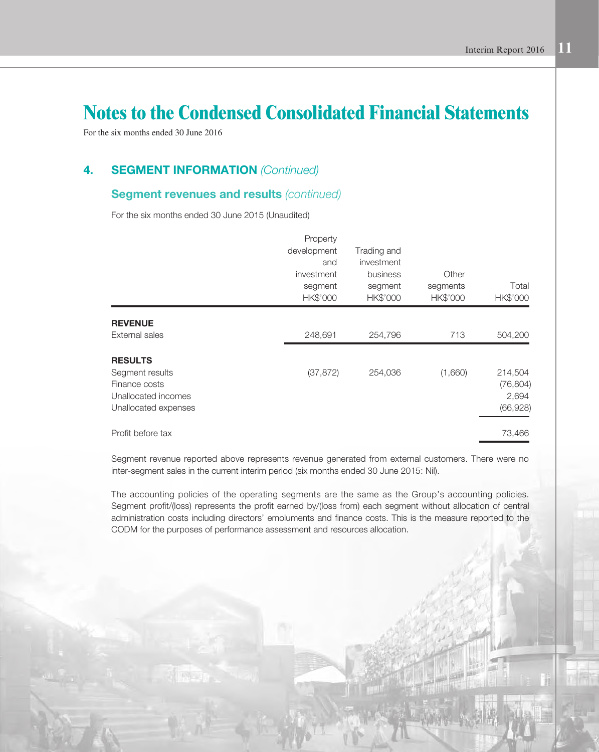For the six months ended 30 June 2016

# 4. SEGMENT INFORMATION *(Continued)*

#### Segment revenues and results *(continued)*

For the six months ended 30 June 2015 (Unaudited)

|                                                                                 | Property                          |                                 |                               |                                           |
|---------------------------------------------------------------------------------|-----------------------------------|---------------------------------|-------------------------------|-------------------------------------------|
|                                                                                 | development<br>and                | Trading and<br>investment       |                               |                                           |
|                                                                                 | investment<br>segment<br>HK\$'000 | business<br>segment<br>HK\$'000 | Other<br>segments<br>HK\$'000 | Total<br>HK\$'000                         |
| <b>REVENUE</b>                                                                  |                                   |                                 |                               |                                           |
| External sales                                                                  | 248,691                           | 254,796                         | 713                           | 504,200                                   |
| <b>RESULTS</b>                                                                  |                                   |                                 |                               |                                           |
| Segment results<br>Finance costs<br>Unallocated incomes<br>Unallocated expenses | (37, 872)                         | 254,036                         | (1,660)                       | 214,504<br>(76, 804)<br>2,694<br>(66,928) |
| Profit before tax                                                               |                                   |                                 |                               | 73,466                                    |

Segment revenue reported above represents revenue generated from external customers. There were no inter-segment sales in the current interim period (six months ended 30 June 2015: Nil).

The accounting policies of the operating segments are the same as the Group's accounting policies. Segment profit/(loss) represents the profit earned by/(loss from) each segment without allocation of central administration costs including directors' emoluments and finance costs. This is the measure reported to the CODM for the purposes of performance assessment and resources allocation.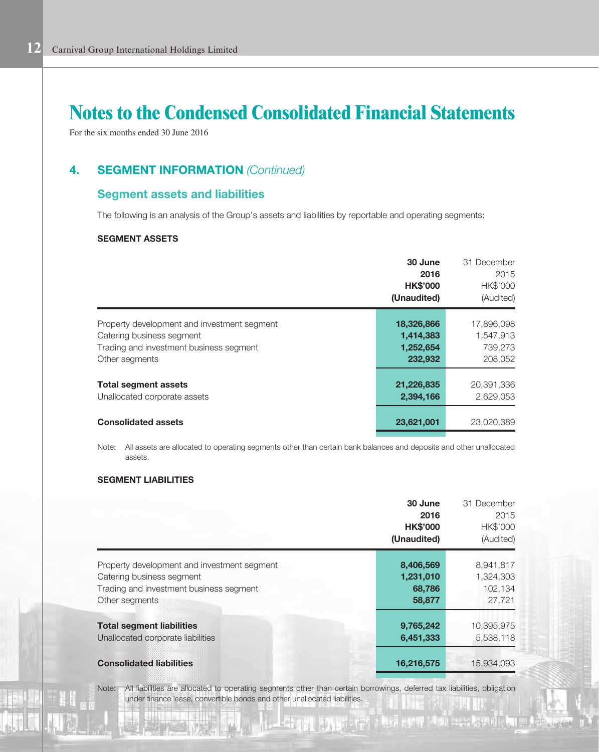For the six months ended 30 June 2016

### 4. SEGMENT INFORMATION *(Continued)*

#### Segment assets and liabilities

The following is an analysis of the Group's assets and liabilities by reportable and operating segments:

#### SEGMENT ASSETS

|                                             | 30 June<br>2016<br><b>HK\$'000</b><br>(Unaudited) | 31 December<br>2015<br>HK\$'000<br>(Audited) |
|---------------------------------------------|---------------------------------------------------|----------------------------------------------|
| Property development and investment segment | 18,326,866                                        | 17,896,098                                   |
| Catering business segment                   | 1,414,383                                         | 1,547,913                                    |
| Trading and investment business segment     | 1,252,654                                         | 739,273                                      |
| Other segments                              | 232,932                                           | 208,052                                      |
| <b>Total segment assets</b>                 | 21,226,835                                        | 20,391,336                                   |
| Unallocated corporate assets                | 2,394,166                                         | 2,629,053                                    |
| <b>Consolidated assets</b>                  | 23,621,001                                        | 23,020,389                                   |

Note: All assets are allocated to operating segments other than certain bank balances and deposits and other unallocated assets.

#### SEGMENT LIABILITIES

|                                             | 30 June<br>2016<br><b>HK\$'000</b><br>(Unaudited) | 31 December<br>2015<br>HK\$'000<br>(Audited) |
|---------------------------------------------|---------------------------------------------------|----------------------------------------------|
| Property development and investment segment | 8,406,569                                         | 8,941,817                                    |
| Catering business segment                   | 1,231,010                                         | 1,324,303                                    |
| Trading and investment business segment     | 68,786                                            | 102,134                                      |
| Other segments                              | 58,877                                            | 27,721                                       |
| <b>Total segment liabilities</b>            | 9,765,242                                         | 10,395,975                                   |
| Unallocated corporate liabilities           | 6,451,333                                         | 5,538,118                                    |
| <b>Consolidated liabilities</b>             | 16,216,575                                        | 15,934,093                                   |

Note: All liabilities are allocated to operating segments other than certain borrowings, deferred tax liabilities, obligation under finance lease, convertible bonds and other unallocated liabilities.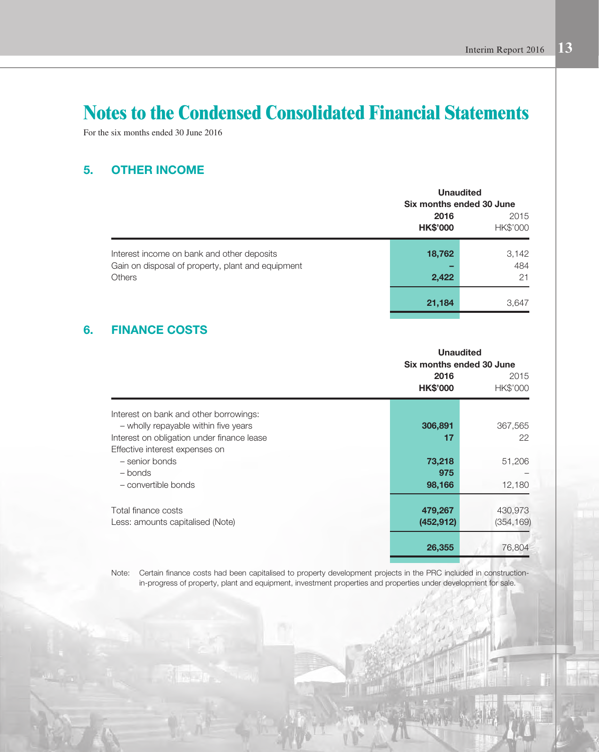For the six months ended 30 June 2016

# 5. OTHER INCOME

|                                                                                                                  | 2016<br><b>HK\$'000</b> | <b>Unaudited</b><br>Six months ended 30 June<br>2015<br>HK\$'000 |
|------------------------------------------------------------------------------------------------------------------|-------------------------|------------------------------------------------------------------|
| Interest income on bank and other deposits<br>Gain on disposal of property, plant and equipment<br><b>Others</b> | 18,762<br>2,422         | 3,142<br>484<br>21                                               |
|                                                                                                                  | 21,184                  | 3,647                                                            |

## 6. FINANCE COSTS

|                                                                                                                              |                         | <b>Unaudited</b><br>Six months ended 30 June |  |
|------------------------------------------------------------------------------------------------------------------------------|-------------------------|----------------------------------------------|--|
|                                                                                                                              | 2016<br><b>HK\$'000</b> | 2015<br>HK\$'000                             |  |
| Interest on bank and other borrowings:<br>- wholly repayable within five years<br>Interest on obligation under finance lease | 306,891<br>17           | 367,565<br>22                                |  |
| Effective interest expenses on<br>- senior bonds<br>- bonds<br>- convertible bonds                                           | 73,218<br>975<br>98,166 | 51,206<br>12,180                             |  |
| Total finance costs<br>Less: amounts capitalised (Note)                                                                      | 479,267<br>(452, 912)   | 430,973<br>(354, 169)                        |  |
|                                                                                                                              | 26,355                  | 76,804                                       |  |

Note: Certain finance costs had been capitalised to property development projects in the PRC included in constructionin-progress of property, plant and equipment, investment properties and properties under development for sale.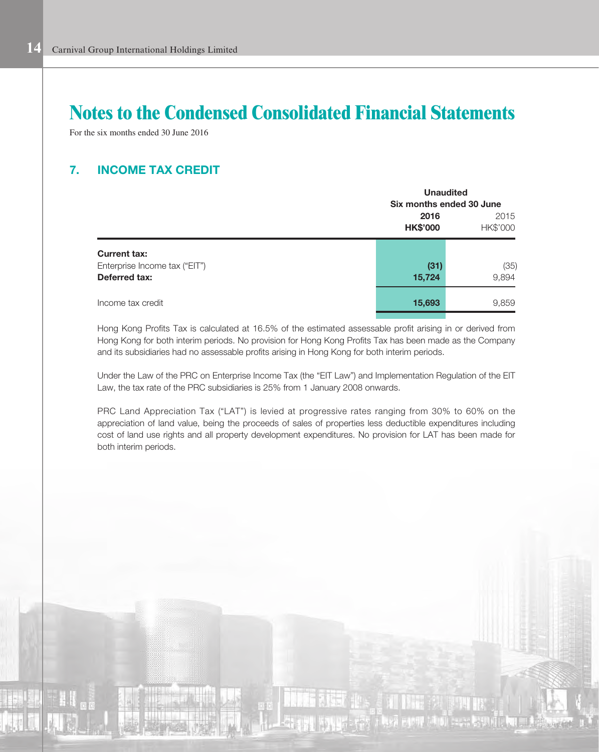For the six months ended 30 June 2016

# 7. INCOME TAX CREDIT

|                                                                       |                         | <b>Unaudited</b><br>Six months ended 30 June |  |
|-----------------------------------------------------------------------|-------------------------|----------------------------------------------|--|
|                                                                       | 2016<br><b>HK\$'000</b> | 2015<br>HK\$'000                             |  |
| <b>Current tax:</b><br>Enterprise Income tax ("EIT")<br>Deferred tax: | (31)<br>15,724          | (35)<br>9,894                                |  |
| Income tax credit                                                     | 15,693                  | 9,859                                        |  |

Hong Kong Profits Tax is calculated at 16.5% of the estimated assessable profit arising in or derived from Hong Kong for both interim periods. No provision for Hong Kong Profits Tax has been made as the Company and its subsidiaries had no assessable profits arising in Hong Kong for both interim periods.

Under the Law of the PRC on Enterprise Income Tax (the "EIT Law") and Implementation Regulation of the EIT Law, the tax rate of the PRC subsidiaries is 25% from 1 January 2008 onwards.

PRC Land Appreciation Tax ("LAT") is levied at progressive rates ranging from 30% to 60% on the appreciation of land value, being the proceeds of sales of properties less deductible expenditures including cost of land use rights and all property development expenditures. No provision for LAT has been made for both interim periods.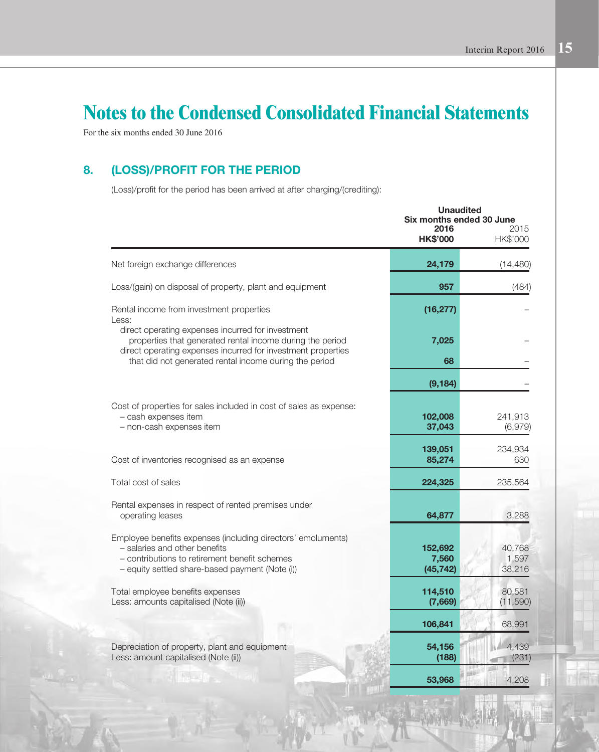For the six months ended 30 June 2016

# 8. (LOSS)/PROFIT FOR THE PERIOD

(Loss)/profit for the period has been arrived at after charging/(crediting):

|                                                                                                                                                                                                   | 2016<br><b>HK\$'000</b>       | <b>Unaudited</b><br>Six months ended 30 June<br>2015<br>HK\$'000 |
|---------------------------------------------------------------------------------------------------------------------------------------------------------------------------------------------------|-------------------------------|------------------------------------------------------------------|
| Net foreign exchange differences                                                                                                                                                                  | 24,179                        | (14, 480)                                                        |
| Loss/(gain) on disposal of property, plant and equipment                                                                                                                                          | 957                           | (484)                                                            |
| Rental income from investment properties<br>Less:                                                                                                                                                 | (16, 277)                     |                                                                  |
| direct operating expenses incurred for investment<br>properties that generated rental income during the period<br>direct operating expenses incurred for investment properties                    | 7,025                         |                                                                  |
| that did not generated rental income during the period                                                                                                                                            | 68                            |                                                                  |
|                                                                                                                                                                                                   | (9, 184)                      |                                                                  |
| Cost of properties for sales included in cost of sales as expense:<br>- cash expenses item<br>- non-cash expenses item                                                                            | 102,008<br>37,043             | 241,913<br>(6,979)                                               |
| Cost of inventories recognised as an expense                                                                                                                                                      | 139,051<br>85,274             | 234,934<br>630                                                   |
| Total cost of sales                                                                                                                                                                               | 224,325                       | 235,564                                                          |
| Rental expenses in respect of rented premises under<br>operating leases                                                                                                                           | 64,877                        | 3,288                                                            |
| Employee benefits expenses (including directors' emoluments)<br>- salaries and other benefits<br>- contributions to retirement benefit schemes<br>- equity settled share-based payment (Note (i)) | 152,692<br>7,560<br>(45, 742) | 40,768<br>1,597<br>38,216                                        |
| Total employee benefits expenses<br>Less: amounts capitalised (Note (ii))                                                                                                                         | 114,510<br>(7,669)            | 80,581<br>(11,590)                                               |
|                                                                                                                                                                                                   | 106,841                       | 68,991                                                           |
| Depreciation of property, plant and equipment<br>Less: amount capitalised (Note (ii))                                                                                                             | 54,156<br>(188)               | 4,439<br>(231)                                                   |
|                                                                                                                                                                                                   | 53,968                        | 4,208                                                            |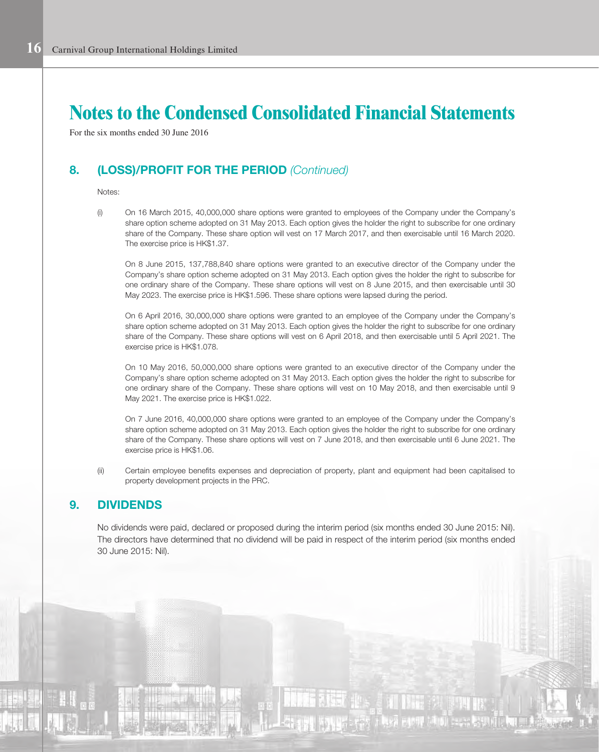For the six months ended 30 June 2016

### 8. (LOSS)/PROFIT FOR THE PERIOD *(Continued)*

#### Notes:

(i) On 16 March 2015, 40,000,000 share options were granted to employees of the Company under the Company's share option scheme adopted on 31 May 2013. Each option gives the holder the right to subscribe for one ordinary share of the Company. These share option will vest on 17 March 2017, and then exercisable until 16 March 2020. The exercise price is HK\$1.37.

On 8 June 2015, 137,788,840 share options were granted to an executive director of the Company under the Company's share option scheme adopted on 31 May 2013. Each option gives the holder the right to subscribe for one ordinary share of the Company. These share options will vest on 8 June 2015, and then exercisable until 30 May 2023. The exercise price is HK\$1.596. These share options were lapsed during the period.

On 6 April 2016, 30,000,000 share options were granted to an employee of the Company under the Company's share option scheme adopted on 31 May 2013. Each option gives the holder the right to subscribe for one ordinary share of the Company. These share options will vest on 6 April 2018, and then exercisable until 5 April 2021. The exercise price is HK\$1.078.

On 10 May 2016, 50,000,000 share options were granted to an executive director of the Company under the Company's share option scheme adopted on 31 May 2013. Each option gives the holder the right to subscribe for one ordinary share of the Company. These share options will vest on 10 May 2018, and then exercisable until 9 May 2021. The exercise price is HK\$1.022.

On 7 June 2016, 40,000,000 share options were granted to an employee of the Company under the Company's share option scheme adopted on 31 May 2013. Each option gives the holder the right to subscribe for one ordinary share of the Company. These share options will vest on 7 June 2018, and then exercisable until 6 June 2021. The exercise price is HK\$1.06.

(ii) Certain employee benefits expenses and depreciation of property, plant and equipment had been capitalised to property development projects in the PRC.

### 9. DIVIDENDS

No dividends were paid, declared or proposed during the interim period (six months ended 30 June 2015: Nil). The directors have determined that no dividend will be paid in respect of the interim period (six months ended 30 June 2015: Nil).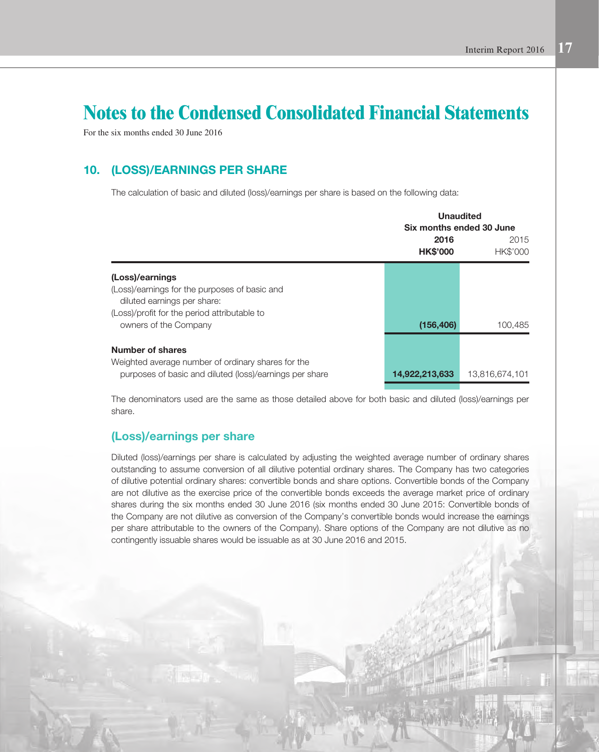For the six months ended 30 June 2016

# 10. (LOSS)/EARNINGS PER SHARE

The calculation of basic and diluted (loss)/earnings per share is based on the following data:

|                                                         | <b>Unaudited</b>         |                |  |
|---------------------------------------------------------|--------------------------|----------------|--|
|                                                         | Six months ended 30 June |                |  |
|                                                         | 2016                     |                |  |
|                                                         | <b>HK\$'000</b>          | HK\$'000       |  |
| (Loss)/earnings                                         |                          |                |  |
| (Loss)/earnings for the purposes of basic and           |                          |                |  |
| diluted earnings per share:                             |                          |                |  |
| (Loss)/profit for the period attributable to            |                          |                |  |
| owners of the Company                                   | (156, 406)               | 100.485        |  |
| Number of shares                                        |                          |                |  |
| Weighted average number of ordinary shares for the      |                          |                |  |
| purposes of basic and diluted (loss)/earnings per share | 14,922,213,633           | 13.816.674.101 |  |

The denominators used are the same as those detailed above for both basic and diluted (loss)/earnings per share.

### (Loss)/earnings per share

Diluted (loss)/earnings per share is calculated by adjusting the weighted average number of ordinary shares outstanding to assume conversion of all dilutive potential ordinary shares. The Company has two categories of dilutive potential ordinary shares: convertible bonds and share options. Convertible bonds of the Company are not dilutive as the exercise price of the convertible bonds exceeds the average market price of ordinary shares during the six months ended 30 June 2016 (six months ended 30 June 2015: Convertible bonds of the Company are not dilutive as conversion of the Company's convertible bonds would increase the earnings per share attributable to the owners of the Company). Share options of the Company are not dilutive as no contingently issuable shares would be issuable as at 30 June 2016 and 2015.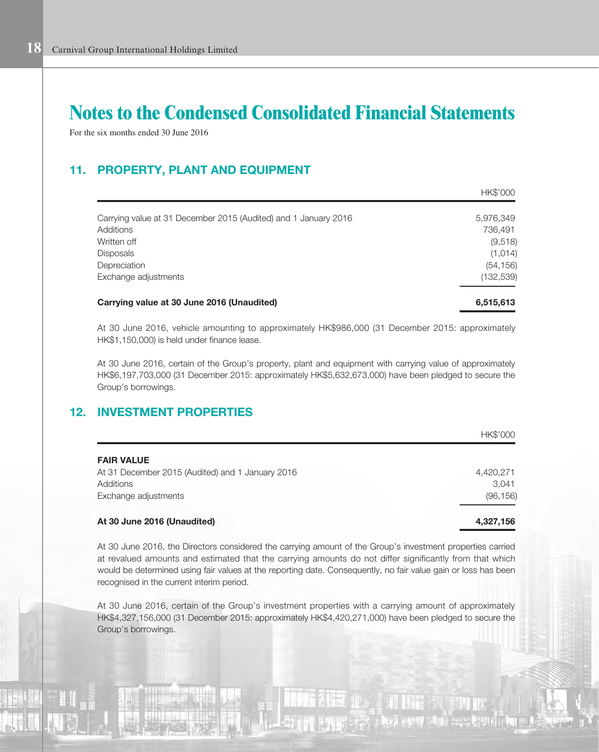For the six months ended 30 June 2016

### 11. PROPERTY, PLANT AND EQUIPMENT

|                                                                 | HK\$'000   |
|-----------------------------------------------------------------|------------|
| Carrying value at 31 December 2015 (Audited) and 1 January 2016 | 5,976,349  |
| Additions                                                       | 736.491    |
| Written off                                                     | (9,518)    |
| <b>Disposals</b>                                                | (1, 014)   |
| Depreciation                                                    | (54, 156)  |
| Exchange adjustments                                            | (132, 539) |
| Carrying value at 30 June 2016 (Unaudited)                      | 6,515,613  |

At 30 June 2016, vehicle amounting to approximately HK\$986,000 (31 December 2015: approximately HK\$1,150,000) is held under finance lease.

At 30 June 2016, certain of the Group's property, plant and equipment with carrying value of approximately HK\$6,197,703,000 (31 December 2015: approximately HK\$5,632,673,000) have been pledged to secure the Group's borrowings.

### 12. INVESTMENT PROPERTIES

|                                                  | HK\$'000  |
|--------------------------------------------------|-----------|
| <b>FAIR VALUE</b>                                |           |
| At 31 December 2015 (Audited) and 1 January 2016 | 4,420,271 |
| Additions                                        | 3.041     |
| Exchange adjustments                             | (96, 156) |
| At 30 June 2016 (Unaudited)                      | 4,327,156 |

At 30 June 2016, the Directors considered the carrying amount of the Group's investment properties carried at revalued amounts and estimated that the carrying amounts do not differ significantly from that which would be determined using fair values at the reporting date. Consequently, no fair value gain or loss has been recognised in the current interim period.

At 30 June 2016, certain of the Group's investment properties with a carrying amount of approximately HK\$4,327,156,000 (31 December 2015: approximately HK\$4,420,271,000) have been pledged to secure the Group's borrowings.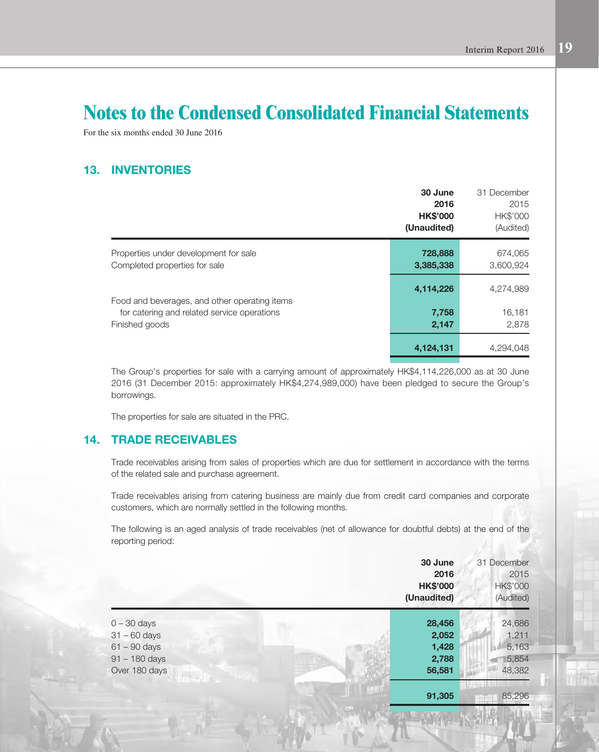For the six months ended 30 June 2016

# 13. INVENTORIES

|                                                                        | 30 June<br>2016<br><b>HK\$'000</b><br>(Unaudited) | 31 December<br>2015<br>HK\$'000<br>(Audited) |
|------------------------------------------------------------------------|---------------------------------------------------|----------------------------------------------|
| Properties under development for sale<br>Completed properties for sale | 728,888<br>3,385,338                              | 674,065<br>3,600,924                         |
| Food and beverages, and other operating items                          | 4,114,226                                         | 4,274,989                                    |
| for catering and related service operations<br>Finished goods          | 7,758<br>2,147                                    | 16,181<br>2,878                              |
|                                                                        | 4,124,131                                         | 4,294,048                                    |

The Group's properties for sale with a carrying amount of approximately HK\$4,114,226,000 as at 30 June 2016 (31 December 2015: approximately HK\$4,274,989,000) have been pledged to secure the Group's borrowings.

The properties for sale are situated in the PRC.

### 14. TRADE RECEIVABLES

Trade receivables arising from sales of properties which are due for settlement in accordance with the terms of the related sale and purchase agreement.

Trade receivables arising from catering business are mainly due from credit card companies and corporate customers, which are normally settled in the following months.

The following is an aged analysis of trade receivables (net of allowance for doubtful debts) at the end of the reporting period:

|                 | 30 June<br>2016<br><b>HK\$'000</b><br>(Unaudited) | 31 December<br>2015<br><b>HK\$'000</b><br>(Audited) |
|-----------------|---------------------------------------------------|-----------------------------------------------------|
| $0 - 30$ days   | 28,456                                            | 24,686                                              |
| $31 - 60$ days  | 2,052                                             | 1,211                                               |
| $61 - 90$ days  | 1,428                                             | 5,163                                               |
| $91 - 180$ days | 2,788                                             | 5,854                                               |
| Over 180 days   | 56,581                                            | 48,382                                              |
|                 | 91,305                                            | 85,296                                              |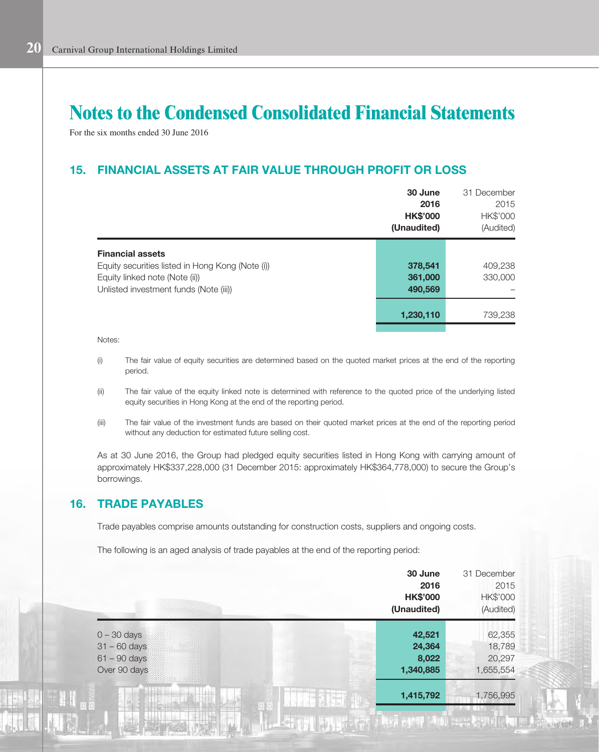For the six months ended 30 June 2016

## 15. FINANCIAL ASSETS AT FAIR VALUE THROUGH PROFIT OR LOSS

|                                                                                                                                                         | 30 June<br>2016<br><b>HK\$'000</b><br>(Unaudited) | 31 December<br>2015<br>HK\$'000<br>(Audited) |
|---------------------------------------------------------------------------------------------------------------------------------------------------------|---------------------------------------------------|----------------------------------------------|
| <b>Financial assets</b><br>Equity securities listed in Hong Kong (Note (i))<br>Equity linked note (Note (ii))<br>Unlisted investment funds (Note (iii)) | 378,541<br>361,000<br>490,569                     | 409,238<br>330,000                           |
|                                                                                                                                                         | 1,230,110                                         | 739,238                                      |

Notes:

- (i) The fair value of equity securities are determined based on the quoted market prices at the end of the reporting period.
- (ii) The fair value of the equity linked note is determined with reference to the quoted price of the underlying listed equity securities in Hong Kong at the end of the reporting period.
- (iii) The fair value of the investment funds are based on their quoted market prices at the end of the reporting period without any deduction for estimated future selling cost.

As at 30 June 2016, the Group had pledged equity securities listed in Hong Kong with carrying amount of approximately HK\$337,228,000 (31 December 2015: approximately HK\$364,778,000) to secure the Group's borrowings.

### 16. TRADE PAYABLES

Trade payables comprise amounts outstanding for construction costs, suppliers and ongoing costs.

The following is an aged analysis of trade payables at the end of the reporting period:

|                                                                   | 30 June<br>2016<br><b>HK\$'000</b><br>(Unaudited) | 31 December<br>2015<br><b>HK\$'000</b><br>(Audited) |
|-------------------------------------------------------------------|---------------------------------------------------|-----------------------------------------------------|
| $0 - 30$ days<br>$31 - 60$ days<br>$61 - 90$ days<br>Over 90 days | 42,521<br>24,364<br>8,022<br>1,340,885            | 62,355<br>18,789<br>20,297<br>1,655,554             |
|                                                                   | 1,415,792                                         | 1,756,995                                           |
|                                                                   |                                                   |                                                     |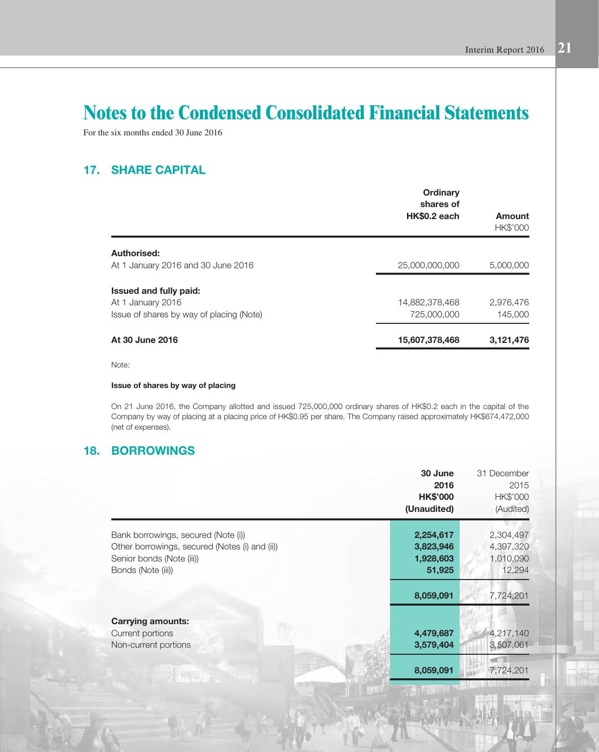For the six months ended 30 June 2016

# 17. SHARE CAPITAL

| Ordinary<br>shares of<br>HK\$0.2 each | Amount<br>HK\$'000 |
|---------------------------------------|--------------------|
|                                       |                    |
| 25,000,000,000                        | 5,000,000          |
|                                       |                    |
| 14,882,378,468                        | 2,976,476          |
| 725,000,000                           | 145,000            |
| 15,607,378,468                        | 3,121,476          |
|                                       |                    |

Note:

Issue of shares by way of placing

On 21 June 2016, the Company allotted and issued 725,000,000 ordinary shares of HK\$0.2 each in the capital of the Company by way of placing at a placing price of HK\$0.95 per share. The Company raised approximately HK\$674,472,000 (net of expenses).

# 18. BORROWINGS

|                                                                                                                                          | 30 June<br>2016<br><b>HK\$'000</b><br>(Unaudited) | 31 December<br>2015<br>HK\$'000<br>(Audited)  |
|------------------------------------------------------------------------------------------------------------------------------------------|---------------------------------------------------|-----------------------------------------------|
| Bank borrowings, secured (Note (i))<br>Other borrowings, secured (Notes (i) and (ii))<br>Senior bonds (Note (iii))<br>Bonds (Note (iii)) | 2,254,617<br>3,823,946<br>1,928,603<br>51,925     | 2,304,497<br>4,397,320<br>1,010,090<br>12,294 |
|                                                                                                                                          | 8,059,091                                         | 7,724,201                                     |
| <b>Carrying amounts:</b><br>Current portions<br>Non-current portions                                                                     | 4,479,687<br>3,579,404                            | 4,217,140<br>3,507,061                        |
|                                                                                                                                          | 8,059,091                                         | 7,724,201                                     |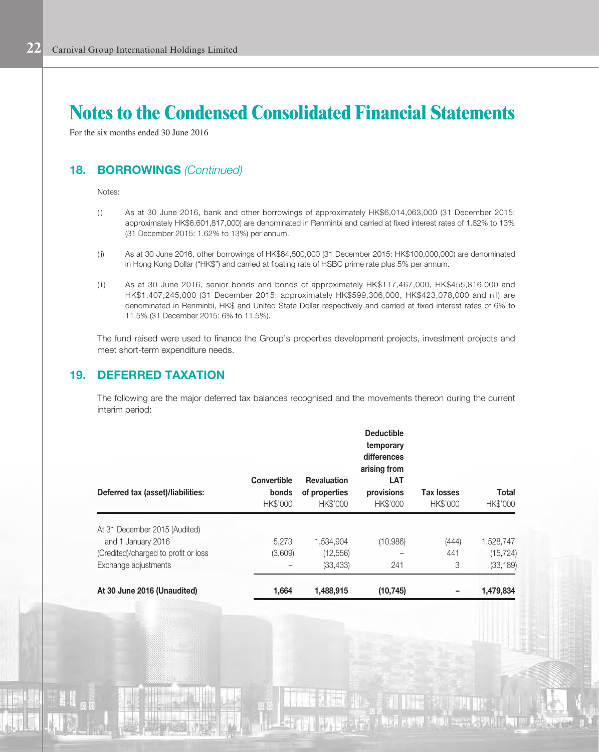For the six months ended 30 June 2016

### 18. BORROWINGS *(Continued)*

#### Notes:

- (i) As at 30 June 2016, bank and other borrowings of approximately HK\$6,014,063,000 (31 December 2015: approximately HK\$6,601,817,000) are denominated in Renminbi and carried at fixed interest rates of 1.62% to 13% (31 December 2015: 1.62% to 13%) per annum.
- (ii) As at 30 June 2016, other borrowings of HK\$64,500,000 (31 December 2015: HK\$100,000,000) are denominated in Hong Kong Dollar ("HK\$") and carried at floating rate of HSBC prime rate plus 5% per annum.
- (iii) As at 30 June 2016, senior bonds and bonds of approximately HK\$117,467,000, HK\$455,816,000 and HK\$1,407,245,000 (31 December 2015: approximately HK\$599,306,000, HK\$423,078,000 and nil) are denominated in Renminbi, HK\$ and United State Dollar respectively and carried at fixed interest rates of 6% to 11.5% (31 December 2015: 6% to 11.5%).

The fund raised were used to finance the Group's properties development projects, investment projects and meet short-term expenditure needs.

### 19. DEFERRED TAXATION

The following are the major deferred tax balances recognised and the movements thereon during the current interim period:

| Deferred tax (asset)/liabilities:                                                                                   | <b>Convertible</b><br>bonds<br><b>HK\$'000</b> | <b>Revaluation</b><br>of properties<br>HK\$'000 | <b>Deductible</b><br>temporary<br>differences<br>arising from<br><b>LAT</b><br>provisions<br><b>HK\$'000</b> | <b>Tax losses</b><br><b>HK\$'000</b> | Total<br>HK\$'000                   |
|---------------------------------------------------------------------------------------------------------------------|------------------------------------------------|-------------------------------------------------|--------------------------------------------------------------------------------------------------------------|--------------------------------------|-------------------------------------|
| At 31 December 2015 (Audited)<br>and 1 January 2016<br>(Credited)/charged to profit or loss<br>Exchange adjustments | 5.273<br>(3,609)                               | 1,534,904<br>(12, 556)<br>(33, 433)             | (10,986)<br>241                                                                                              | (444)<br>441<br>3                    | 1,528,747<br>(15, 724)<br>(33, 189) |
| At 30 June 2016 (Unaudited)                                                                                         | 1,664                                          | 1,488,915                                       | (10, 745)                                                                                                    |                                      | 1,479,834                           |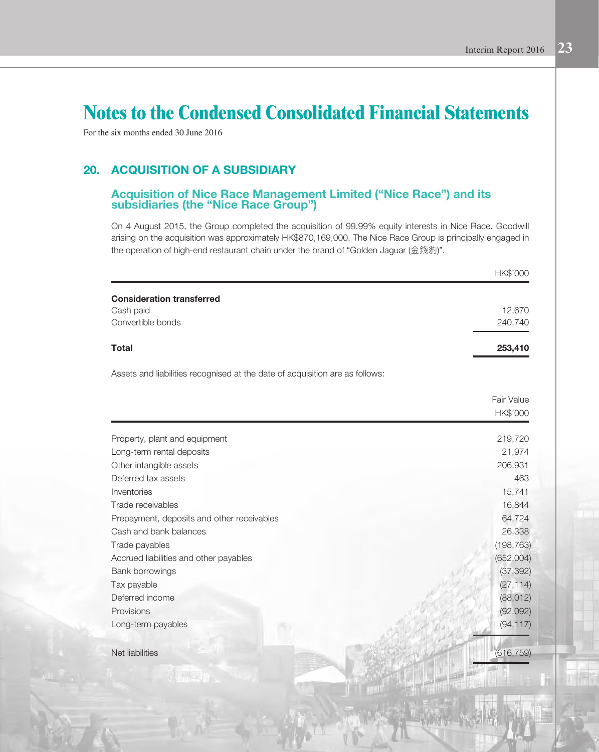For the six months ended 30 June 2016

### 20. ACQUISITION OF A SUBSIDIARY

**Barnet** 

#### Acquisition of Nice Race Management Limited ("Nice Race") and its subsidiaries (the "Nice Race Group")

On 4 August 2015, the Group completed the acquisition of 99.99% equity interests in Nice Race. Goodwill arising on the acquisition was approximately HK\$870,169,000. The Nice Race Group is principally engaged in the operation of high-end restaurant chain under the brand of "Golden Jaguar (金錢豹)".

|                                                                              | HK\$'000   |
|------------------------------------------------------------------------------|------------|
| <b>Consideration transferred</b>                                             |            |
| Cash paid                                                                    | 12,670     |
| Convertible bonds                                                            | 240,740    |
| <b>Total</b>                                                                 | 253,410    |
| Assets and liabilities recognised at the date of acquisition are as follows: |            |
|                                                                              | Fair Value |
|                                                                              | HK\$'000   |
| Property, plant and equipment                                                | 219,720    |
| Long-term rental deposits                                                    | 21,974     |
| Other intangible assets                                                      | 206,931    |
| Deferred tax assets                                                          | 463        |
| Inventories                                                                  | 15,741     |
| Trade receivables                                                            | 16,844     |
| Prepayment, deposits and other receivables                                   | 64,724     |
| Cash and bank balances                                                       | 26,338     |
| Trade payables                                                               | (198, 763) |
| Accrued liabilities and other payables                                       | (652,004)  |
| Bank borrowings                                                              | (37, 392)  |
| Tax payable                                                                  | (27, 114)  |
| Deferred income                                                              | (88, 012)  |
| Provisions                                                                   | (92,092)   |
| Long-term payables                                                           | (94, 117)  |
| Net liabilities                                                              | (616, 759) |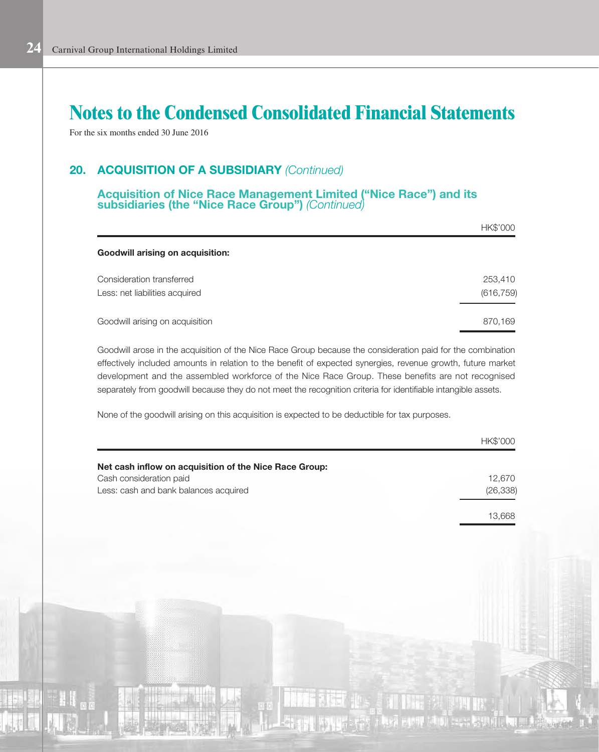For the six months ended 30 June 2016

### 20. ACQUISITION OF A SUBSIDIARY *(Continued)*

#### Acquisition of Nice Race Management Limited ("Nice Race") and its subsidiaries (the "Nice Race Group") *(Continued)*

|                                         | HK\$'000   |
|-----------------------------------------|------------|
| <b>Goodwill arising on acquisition:</b> |            |
| Consideration transferred               | 253,410    |
| Less: net liabilities acquired          | (616, 759) |
| Goodwill arising on acquisition         | 870,169    |

Goodwill arose in the acquisition of the Nice Race Group because the consideration paid for the combination effectively included amounts in relation to the benefit of expected synergies, revenue growth, future market development and the assembled workforce of the Nice Race Group. These benefits are not recognised separately from goodwill because they do not meet the recognition criteria for identifiable intangible assets.

None of the goodwill arising on this acquisition is expected to be deductible for tax purposes.

|                                                        | HK\$'000  |
|--------------------------------------------------------|-----------|
| Net cash inflow on acquisition of the Nice Race Group: |           |
| Cash consideration paid                                | 12,670    |
| Less: cash and bank balances acquired                  | (26, 338) |
|                                                        | 13.668    |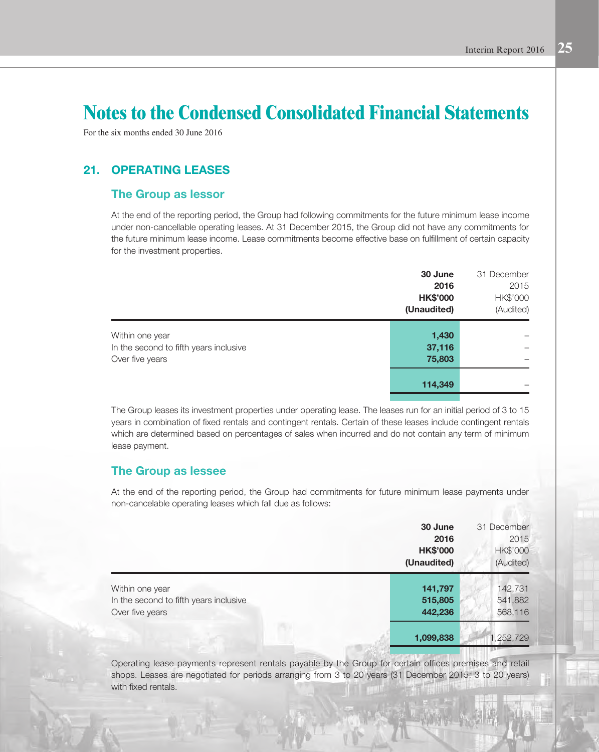For the six months ended 30 June 2016

### 21. OPERATING LEASES

### The Group as lessor

At the end of the reporting period, the Group had following commitments for the future minimum lease income under non-cancellable operating leases. At 31 December 2015, the Group did not have any commitments for the future minimum lease income. Lease commitments become effective base on fulfillment of certain capacity for the investment properties.

|                                        | 30 June<br>2016 | 31 December |  |
|----------------------------------------|-----------------|-------------|--|
|                                        |                 | 2015        |  |
|                                        | <b>HK\$'000</b> | HK\$'000    |  |
|                                        | (Unaudited)     | (Audited)   |  |
| Within one year                        | 1,430           |             |  |
| In the second to fifth years inclusive | 37,116          |             |  |
| Over five years                        | 75,803          |             |  |
|                                        | 114,349         |             |  |
|                                        |                 |             |  |

The Group leases its investment properties under operating lease. The leases run for an initial period of 3 to 15 years in combination of fixed rentals and contingent rentals. Certain of these leases include contingent rentals which are determined based on percentages of sales when incurred and do not contain any term of minimum lease payment.

#### The Group as lessee

At the end of the reporting period, the Group had commitments for future minimum lease payments under non-cancelable operating leases which fall due as follows:

|                                                                              | 30 June<br>2016<br><b>HK\$'000</b><br>(Unaudited) | 31 December<br>2015<br><b>HK\$'000</b><br>(Audited) |
|------------------------------------------------------------------------------|---------------------------------------------------|-----------------------------------------------------|
| Within one year<br>In the second to fifth years inclusive<br>Over five years | 141,797<br>515,805<br>442,236                     | 142,731<br>541,882<br>568,116                       |
|                                                                              | 1,099,838                                         | 1,252,729                                           |

Operating lease payments represent rentals payable by the Group for certain offices premises and retail shops. Leases are negotiated for periods arranging from 3 to 20 years (31 December 2015: 3 to 20 years) with fixed rentals.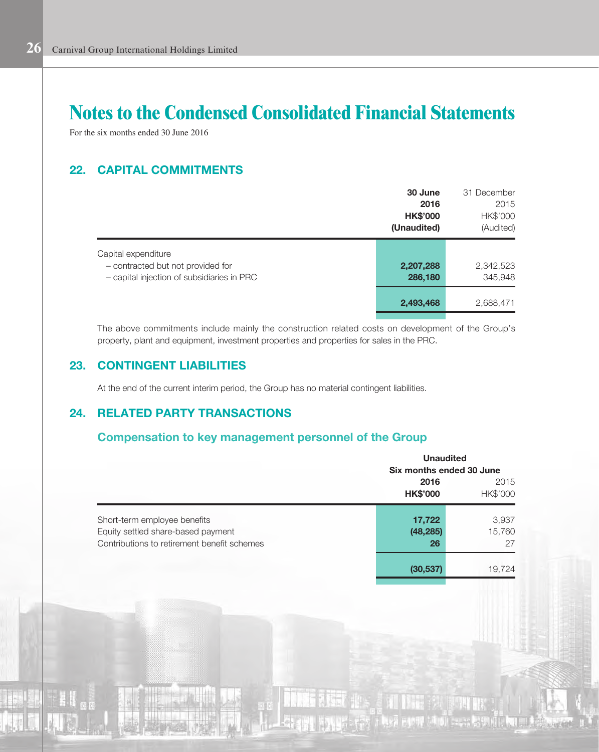For the six months ended 30 June 2016

## 22. CAPITAL COMMITMENTS

|                                            | 30 June         | 31 December |
|--------------------------------------------|-----------------|-------------|
|                                            | 2016            | 2015        |
|                                            | <b>HK\$'000</b> | HK\$'000    |
|                                            | (Unaudited)     | (Audited)   |
| Capital expenditure                        |                 |             |
| - contracted but not provided for          | 2,207,288       | 2,342,523   |
| - capital injection of subsidiaries in PRC | 286,180         | 345,948     |
|                                            | 2,493,468       | 2,688,471   |
|                                            |                 |             |

The above commitments include mainly the construction related costs on development of the Group's property, plant and equipment, investment properties and properties for sales in the PRC.

# 23. CONTINGENT LIABILITIES

At the end of the current interim period, the Group has no material contingent liabilities.

# 24. RELATED PARTY TRANSACTIONS

### Compensation to key management personnel of the Group

|                                                                                                                   | <b>Unaudited</b><br>Six months ended 30 June |                       |  |
|-------------------------------------------------------------------------------------------------------------------|----------------------------------------------|-----------------------|--|
|                                                                                                                   | 2016<br><b>HK\$'000</b>                      | 2015<br>HK\$'000      |  |
| Short-term employee benefits<br>Equity settled share-based payment<br>Contributions to retirement benefit schemes | 17,722<br>(48, 285)<br>26                    | 3,937<br>15,760<br>27 |  |
|                                                                                                                   | (30, 537)                                    | 19,724                |  |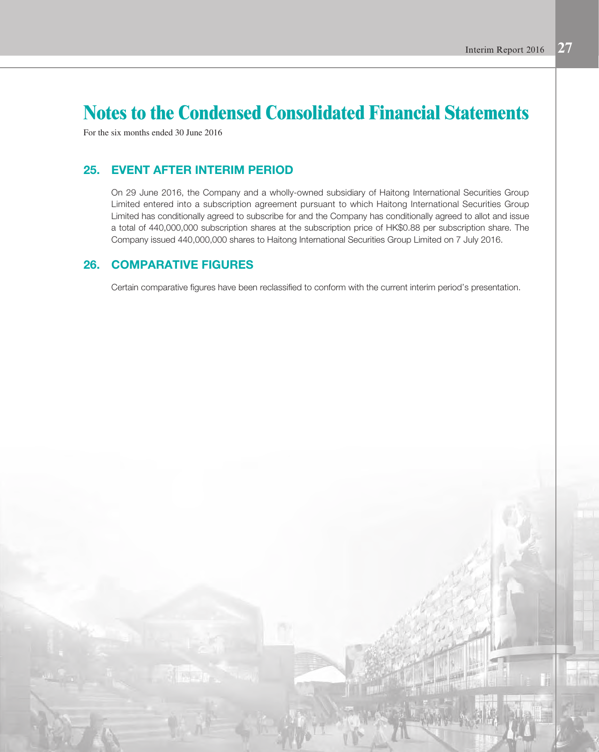For the six months ended 30 June 2016

### 25. EVENT AFTER INTERIM PERIOD

On 29 June 2016, the Company and a wholly-owned subsidiary of Haitong International Securities Group Limited entered into a subscription agreement pursuant to which Haitong International Securities Group Limited has conditionally agreed to subscribe for and the Company has conditionally agreed to allot and issue a total of 440,000,000 subscription shares at the subscription price of HK\$0.88 per subscription share. The Company issued 440,000,000 shares to Haitong International Securities Group Limited on 7 July 2016.

### 26. COMPARATIVE FIGURES

Certain comparative figures have been reclassified to conform with the current interim period's presentation.

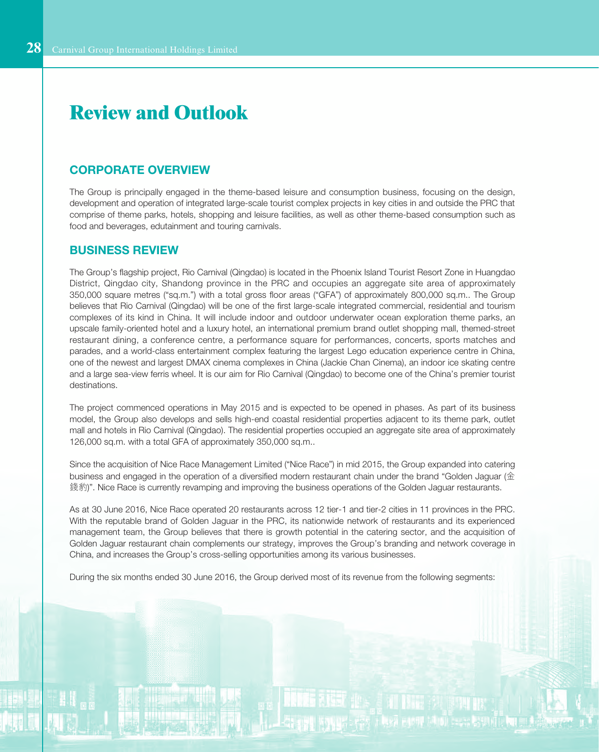#### CORPORATE OVERVIEW

The Group is principally engaged in the theme-based leisure and consumption business, focusing on the design, development and operation of integrated large-scale tourist complex projects in key cities in and outside the PRC that comprise of theme parks, hotels, shopping and leisure facilities, as well as other theme-based consumption such as food and beverages, edutainment and touring carnivals.

#### BUSINESS REVIEW

The Group's flagship project, Rio Carnival (Qingdao) is located in the Phoenix Island Tourist Resort Zone in Huangdao District, Qingdao city, Shandong province in the PRC and occupies an aggregate site area of approximately 350,000 square metres ("sq.m.") with a total gross floor areas ("GFA") of approximately 800,000 sq.m.. The Group believes that Rio Carnival (Qingdao) will be one of the first large-scale integrated commercial, residential and tourism complexes of its kind in China. It will include indoor and outdoor underwater ocean exploration theme parks, an upscale family-oriented hotel and a luxury hotel, an international premium brand outlet shopping mall, themed-street restaurant dining, a conference centre, a performance square for performances, concerts, sports matches and parades, and a world-class entertainment complex featuring the largest Lego education experience centre in China, one of the newest and largest DMAX cinema complexes in China (Jackie Chan Cinema), an indoor ice skating centre and a large sea-view ferris wheel. It is our aim for Rio Carnival (Qingdao) to become one of the China's premier tourist destinations.

The project commenced operations in May 2015 and is expected to be opened in phases. As part of its business model, the Group also develops and sells high-end coastal residential properties adjacent to its theme park, outlet mall and hotels in Rio Carnival (Qingdao). The residential properties occupied an aggregate site area of approximately 126,000 sq.m. with a total GFA of approximately 350,000 sq.m..

Since the acquisition of Nice Race Management Limited ("Nice Race") in mid 2015, the Group expanded into catering business and engaged in the operation of a diversified modern restaurant chain under the brand "Golden Jaguar (金 錢豹)". Nice Race is currently revamping and improving the business operations of the Golden Jaguar restaurants.

As at 30 June 2016, Nice Race operated 20 restaurants across 12 tier-1 and tier-2 cities in 11 provinces in the PRC. With the reputable brand of Golden Jaguar in the PRC, its nationwide network of restaurants and its experienced management team, the Group believes that there is growth potential in the catering sector, and the acquisition of Golden Jaguar restaurant chain complements our strategy, improves the Group's branding and network coverage in China, and increases the Group's cross-selling opportunities among its various businesses.

During the six months ended 30 June 2016, the Group derived most of its revenue from the following segments: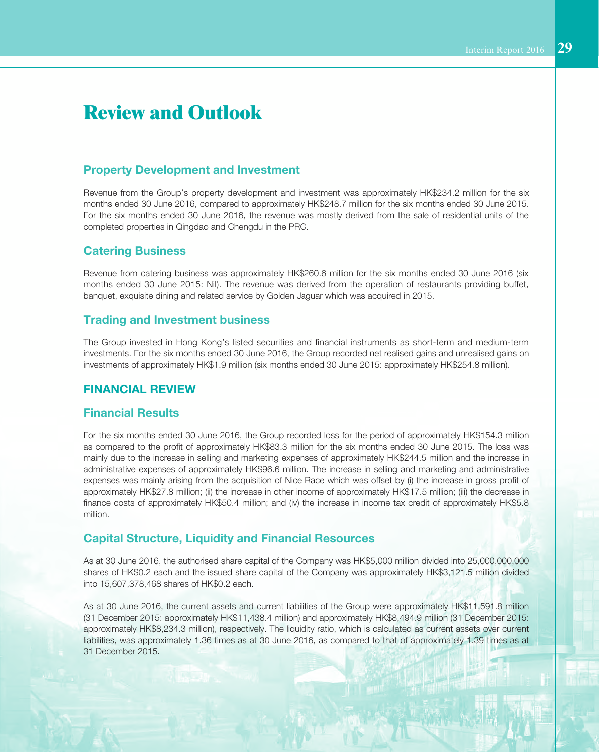#### Property Development and Investment

Revenue from the Group's property development and investment was approximately HK\$234.2 million for the six months ended 30 June 2016, compared to approximately HK\$248.7 million for the six months ended 30 June 2015. For the six months ended 30 June 2016, the revenue was mostly derived from the sale of residential units of the completed properties in Qingdao and Chengdu in the PRC.

#### Catering Business

Revenue from catering business was approximately HK\$260.6 million for the six months ended 30 June 2016 (six months ended 30 June 2015: Nil). The revenue was derived from the operation of restaurants providing buffet, banquet, exquisite dining and related service by Golden Jaguar which was acquired in 2015.

#### Trading and Investment business

The Group invested in Hong Kong's listed securities and financial instruments as short-term and medium-term investments. For the six months ended 30 June 2016, the Group recorded net realised gains and unrealised gains on investments of approximately HK\$1.9 million (six months ended 30 June 2015: approximately HK\$254.8 million).

#### FINANCIAL REVIEW

#### Financial Results

For the six months ended 30 June 2016, the Group recorded loss for the period of approximately HK\$154.3 million as compared to the profit of approximately HK\$83.3 million for the six months ended 30 June 2015. The loss was mainly due to the increase in selling and marketing expenses of approximately HK\$244.5 million and the increase in administrative expenses of approximately HK\$96.6 million. The increase in selling and marketing and administrative expenses was mainly arising from the acquisition of Nice Race which was offset by (i) the increase in gross profit of approximately HK\$27.8 million; (ii) the increase in other income of approximately HK\$17.5 million; (iii) the decrease in finance costs of approximately HK\$50.4 million; and (iv) the increase in income tax credit of approximately HK\$5.8 million.

#### Capital Structure, Liquidity and Financial Resources

As at 30 June 2016, the authorised share capital of the Company was HK\$5,000 million divided into 25,000,000,000 shares of HK\$0.2 each and the issued share capital of the Company was approximately HK\$3,121.5 million divided into 15,607,378,468 shares of HK\$0.2 each.

As at 30 June 2016, the current assets and current liabilities of the Group were approximately HK\$11,591.8 million (31 December 2015: approximately HK\$11,438.4 million) and approximately HK\$8,494.9 million (31 December 2015: approximately HK\$8,234.3 million), respectively. The liquidity ratio, which is calculated as current assets over current liabilities, was approximately 1.36 times as at 30 June 2016, as compared to that of approximately 1.39 times as at 31 December 2015.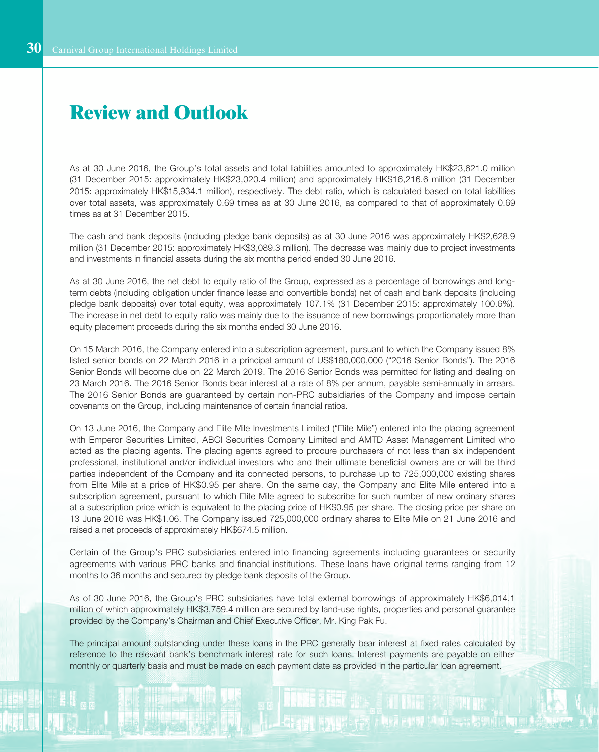As at 30 June 2016, the Group's total assets and total liabilities amounted to approximately HK\$23,621.0 million (31 December 2015: approximately HK\$23,020.4 million) and approximately HK\$16,216.6 million (31 December 2015: approximately HK\$15,934.1 million), respectively. The debt ratio, which is calculated based on total liabilities over total assets, was approximately 0.69 times as at 30 June 2016, as compared to that of approximately 0.69 times as at 31 December 2015.

The cash and bank deposits (including pledge bank deposits) as at 30 June 2016 was approximately HK\$2,628.9 million (31 December 2015: approximately HK\$3,089.3 million). The decrease was mainly due to project investments and investments in financial assets during the six months period ended 30 June 2016.

As at 30 June 2016, the net debt to equity ratio of the Group, expressed as a percentage of borrowings and longterm debts (including obligation under finance lease and convertible bonds) net of cash and bank deposits (including pledge bank deposits) over total equity, was approximately 107.1% (31 December 2015: approximately 100.6%). The increase in net debt to equity ratio was mainly due to the issuance of new borrowings proportionately more than equity placement proceeds during the six months ended 30 June 2016.

On 15 March 2016, the Company entered into a subscription agreement, pursuant to which the Company issued 8% listed senior bonds on 22 March 2016 in a principal amount of US\$180,000,000 ("2016 Senior Bonds"). The 2016 Senior Bonds will become due on 22 March 2019. The 2016 Senior Bonds was permitted for listing and dealing on 23 March 2016. The 2016 Senior Bonds bear interest at a rate of 8% per annum, payable semi-annually in arrears. The 2016 Senior Bonds are guaranteed by certain non-PRC subsidiaries of the Company and impose certain covenants on the Group, including maintenance of certain financial ratios.

On 13 June 2016, the Company and Elite Mile Investments Limited ("Elite Mile") entered into the placing agreement with Emperor Securities Limited, ABCI Securities Company Limited and AMTD Asset Management Limited who acted as the placing agents. The placing agents agreed to procure purchasers of not less than six independent professional, institutional and/or individual investors who and their ultimate beneficial owners are or will be third parties independent of the Company and its connected persons, to purchase up to 725,000,000 existing shares from Elite Mile at a price of HK\$0.95 per share. On the same day, the Company and Elite Mile entered into a subscription agreement, pursuant to which Elite Mile agreed to subscribe for such number of new ordinary shares at a subscription price which is equivalent to the placing price of HK\$0.95 per share. The closing price per share on 13 June 2016 was HK\$1.06. The Company issued 725,000,000 ordinary shares to Elite Mile on 21 June 2016 and raised a net proceeds of approximately HK\$674.5 million.

Certain of the Group's PRC subsidiaries entered into financing agreements including guarantees or security agreements with various PRC banks and financial institutions. These loans have original terms ranging from 12 months to 36 months and secured by pledge bank deposits of the Group.

As of 30 June 2016, the Group's PRC subsidiaries have total external borrowings of approximately HK\$6,014.1 million of which approximately HK\$3,759.4 million are secured by land-use rights, properties and personal guarantee provided by the Company's Chairman and Chief Executive Officer, Mr. King Pak Fu.

The principal amount outstanding under these loans in the PRC generally bear interest at fixed rates calculated by reference to the relevant bank's benchmark interest rate for such loans. Interest payments are payable on either monthly or quarterly basis and must be made on each payment date as provided in the particular loan agreement.

IN HONDA-575 I WA HOME MIND SON CON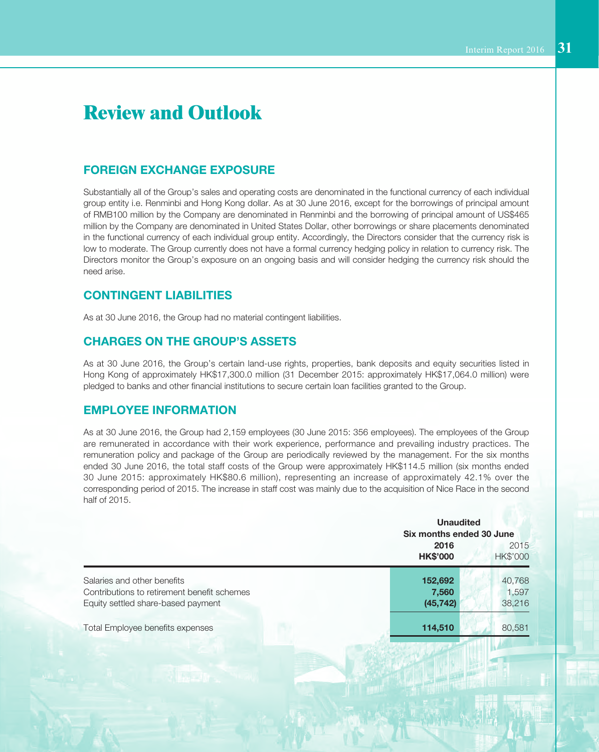### FOREIGN EXCHANGE EXPOSURE

Substantially all of the Group's sales and operating costs are denominated in the functional currency of each individual group entity i.e. Renminbi and Hong Kong dollar. As at 30 June 2016, except for the borrowings of principal amount of RMB100 million by the Company are denominated in Renminbi and the borrowing of principal amount of US\$465 million by the Company are denominated in United States Dollar, other borrowings or share placements denominated in the functional currency of each individual group entity. Accordingly, the Directors consider that the currency risk is low to moderate. The Group currently does not have a formal currency hedging policy in relation to currency risk. The Directors monitor the Group's exposure on an ongoing basis and will consider hedging the currency risk should the need arise.

### CONTINGENT LIABILITIES

As at 30 June 2016, the Group had no material contingent liabilities.

### CHARGES ON THE GROUP'S ASSETS

As at 30 June 2016, the Group's certain land-use rights, properties, bank deposits and equity securities listed in Hong Kong of approximately HK\$17,300.0 million (31 December 2015: approximately HK\$17,064.0 million) were pledged to banks and other financial institutions to secure certain loan facilities granted to the Group.

#### EMPLOYEE INFORMATION

As at 30 June 2016, the Group had 2,159 employees (30 June 2015: 356 employees). The employees of the Group are remunerated in accordance with their work experience, performance and prevailing industry practices. The remuneration policy and package of the Group are periodically reviewed by the management. For the six months ended 30 June 2016, the total staff costs of the Group were approximately HK\$114.5 million (six months ended 30 June 2015: approximately HK\$80.6 million), representing an increase of approximately 42.1% over the corresponding period of 2015. The increase in staff cost was mainly due to the acquisition of Nice Race in the second half of 2015.

|                                                                                                                  | <b>Unaudited</b><br>Six months ended 30 June |                           |  |
|------------------------------------------------------------------------------------------------------------------|----------------------------------------------|---------------------------|--|
|                                                                                                                  | 2016<br><b>HK\$'000</b>                      | 2015<br>HK\$'000          |  |
| Salaries and other benefits<br>Contributions to retirement benefit schemes<br>Equity settled share-based payment | 152,692<br>7,560<br>(45, 742)                | 40,768<br>1,597<br>38,216 |  |
| Total Employee benefits expenses                                                                                 | 114,510                                      | 80,581                    |  |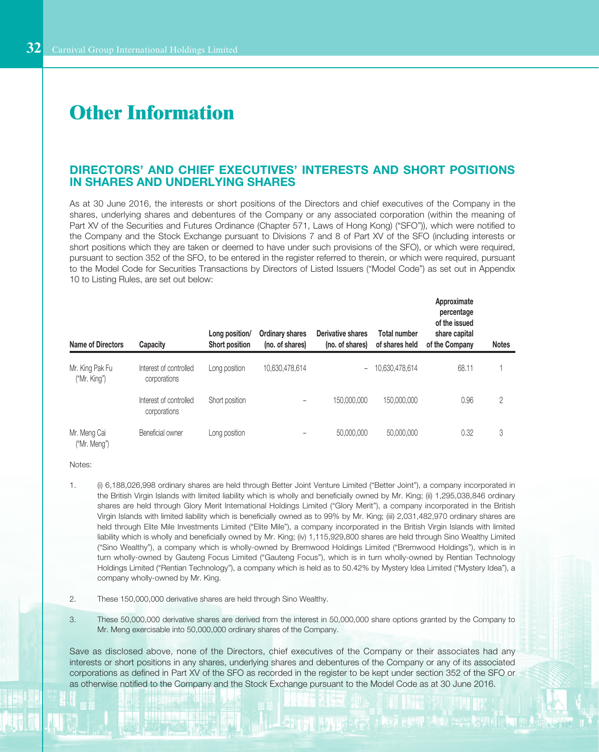#### DIRECTORS' AND CHIEF EXECUTIVES' INTERESTS AND SHORT POSITIONS IN SHARES AND UNDERLYING SHARES

As at 30 June 2016, the interests or short positions of the Directors and chief executives of the Company in the shares, underlying shares and debentures of the Company or any associated corporation (within the meaning of Part XV of the Securities and Futures Ordinance (Chapter 571, Laws of Hong Kong) ("SFO")), which were notified to the Company and the Stock Exchange pursuant to Divisions 7 and 8 of Part XV of the SFO (including interests or short positions which they are taken or deemed to have under such provisions of the SFO), or which were required, pursuant to section 352 of the SFO, to be entered in the register referred to therein, or which were required, pursuant to the Model Code for Securities Transactions by Directors of Listed Issuers ("Model Code") as set out in Appendix 10 to Listing Rules, are set out below:

| <b>Name of Directors</b>        | Capacity                               | Long position/<br><b>Short position</b> | <b>Ordinary shares</b><br>(no. of shares) | Derivative shares<br>(no. of shares) | <b>Total number</b><br>of shares held | Approximate<br>percentage<br>of the issued<br>share capital<br>of the Company | <b>Notes</b>   |
|---------------------------------|----------------------------------------|-----------------------------------------|-------------------------------------------|--------------------------------------|---------------------------------------|-------------------------------------------------------------------------------|----------------|
| Mr. King Pak Fu<br>("Mr. King") | Interest of controlled<br>corporations | Long position                           | 10,630,478,614                            |                                      | 10,630,478,614                        | 68.11                                                                         |                |
|                                 | Interest of controlled<br>corporations | Short position                          |                                           | 150,000,000                          | 150,000,000                           | 0.96                                                                          | $\overline{2}$ |
| Mr. Meng Cai<br>("Mr. Meng")    | Beneficial owner                       | Long position                           |                                           | 50,000,000                           | 50,000,000                            | 0.32                                                                          | 3              |

Notes:

- 1. (i) 6,188,026,998 ordinary shares are held through Better Joint Venture Limited ("Better Joint"), a company incorporated in the British Virgin Islands with limited liability which is wholly and beneficially owned by Mr. King; (ii) 1,295,038,846 ordinary shares are held through Glory Merit International Holdings Limited ("Glory Merit"), a company incorporated in the British Virgin Islands with limited liability which is beneficially owned as to 99% by Mr. King; (iii) 2,031,482,970 ordinary shares are held through Elite Mile Investments Limited ("Elite Mile"), a company incorporated in the British Virgin Islands with limited liability which is wholly and beneficially owned by Mr. King; (iv) 1,115,929,800 shares are held through Sino Wealthy Limited ("Sino Wealthy"), a company which is wholly-owned by Bremwood Holdings Limited ("Bremwood Holdings"), which is in turn wholly-owned by Gauteng Focus Limited ("Gauteng Focus"), which is in turn wholly-owned by Rentian Technology Holdings Limited ("Rentian Technology"), a company which is held as to 50.42% by Mystery Idea Limited ("Mystery Idea"), a company wholly-owned by Mr. King.
- 2. These 150,000,000 derivative shares are held through Sino Wealthy.

3. These 50,000,000 derivative shares are derived from the interest in 50,000,000 share options granted by the Company to Mr. Meng exercisable into 50,000,000 ordinary shares of the Company.

Save as disclosed above, none of the Directors, chief executives of the Company or their associates had any interests or short positions in any shares, underlying shares and debentures of the Company or any of its associated corporations as defined in Part XV of the SFO as recorded in the register to be kept under section 352 of the SFO or as otherwise notified to the Company and the Stock Exchange pursuant to the Model Code as at 30 June 2016.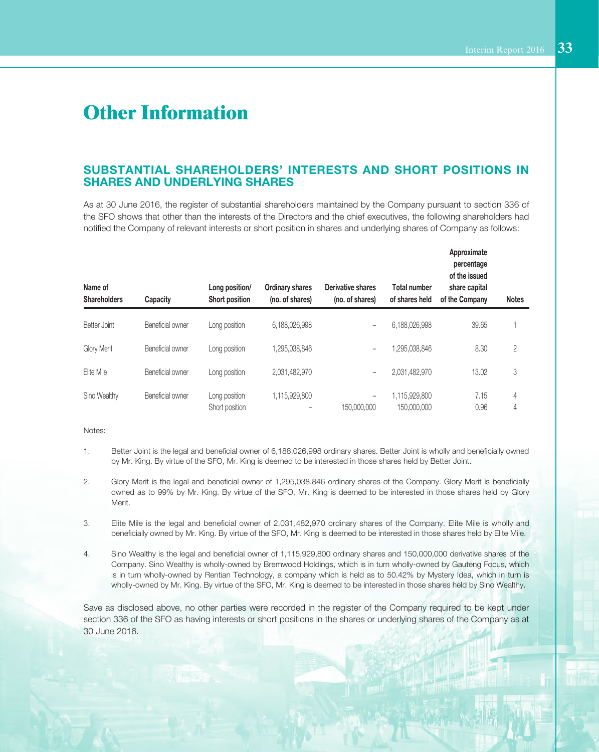### SUBSTANTIAL SHAREHOLDERS' INTERESTS AND SHORT POSITIONS IN SHARES AND UNDERLYING SHARES

As at 30 June 2016, the register of substantial shareholders maintained by the Company pursuant to section 336 of the SFO shows that other than the interests of the Directors and the chief executives, the following shareholders had notified the Company of relevant interests or short position in shares and underlying shares of Company as follows:

| Name of<br><b>Shareholders</b> | Capacity         | Long position/<br><b>Short position</b> | <b>Ordinary shares</b><br>(no. of shares) | Derivative shares<br>(no. of shares) | <b>Total number</b><br>of shares held | Approximate<br>percentage<br>of the issued<br>share capital<br>of the Company | <b>Notes</b>   |
|--------------------------------|------------------|-----------------------------------------|-------------------------------------------|--------------------------------------|---------------------------------------|-------------------------------------------------------------------------------|----------------|
| Better Joint                   | Beneficial owner | Long position                           | 6,188,026,998                             | $\qquad \qquad -$                    | 6,188,026,998                         | 39.65                                                                         |                |
| Glory Merit                    | Beneficial owner | Long position                           | 1,295,038,846                             | $\overline{\phantom{m}}$             | 1,295,038,846                         | 8.30                                                                          | $\overline{2}$ |
| Elite Mile                     | Beneficial owner | Long position                           | 2,031,482,970                             | $\qquad \qquad -$                    | 2,031,482,970                         | 13.02                                                                         | 3              |
| Sino Wealthy                   | Beneficial owner | Long position<br>Short position         | 1,115,929,800                             | $\qquad \qquad -$<br>150,000,000     | 1,115,929,800<br>150,000,000          | 7.15<br>0.96                                                                  | 4<br>4         |

#### Notes:

- 1. Better Joint is the legal and beneficial owner of 6,188,026,998 ordinary shares. Better Joint is wholly and beneficially owned by Mr. King. By virtue of the SFO, Mr. King is deemed to be interested in those shares held by Better Joint.
- 2. Glory Merit is the legal and beneficial owner of 1,295,038,846 ordinary shares of the Company. Glory Merit is beneficially owned as to 99% by Mr. King. By virtue of the SFO, Mr. King is deemed to be interested in those shares held by Glory Merit.
- 3. Elite Mile is the legal and beneficial owner of 2,031,482,970 ordinary shares of the Company. Elite Mile is wholly and beneficially owned by Mr. King. By virtue of the SFO, Mr. King is deemed to be interested in those shares held by Elite Mile.
- 4. Sino Wealthy is the legal and beneficial owner of 1,115,929,800 ordinary shares and 150,000,000 derivative shares of the Company. Sino Wealthy is wholly-owned by Bremwood Holdings, which is in turn wholly-owned by Gauteng Focus, which is in turn wholly-owned by Rentian Technology, a company which is held as to 50.42% by Mystery Idea, which in turn is wholly-owned by Mr. King. By virtue of the SFO, Mr. King is deemed to be interested in those shares held by Sino Wealthy.

Save as disclosed above, no other parties were recorded in the register of the Company required to be kept under section 336 of the SFO as having interests or short positions in the shares or underlying shares of the Company as at 30 June 2016.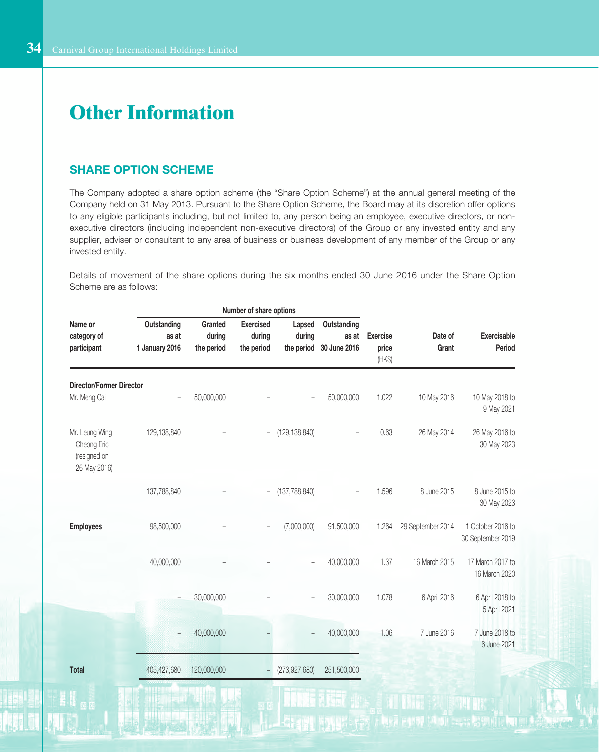### SHARE OPTION SCHEME

The Company adopted a share option scheme (the "Share Option Scheme") at the annual general meeting of the Company held on 31 May 2013. Pursuant to the Share Option Scheme, the Board may at its discretion offer options to any eligible participants including, but not limited to, any person being an employee, executive directors, or nonexecutive directors (including independent non-executive directors) of the Group or any invested entity and any supplier, adviser or consultant to any area of business or business development of any member of the Group or any invested entity.

Details of movement of the share options during the six months ended 30 June 2016 under the Share Option Scheme are as follows:

|                                                               |                                        | Number of share options         |                                          |                                |                                      |                                    |                                                                              |                                        |
|---------------------------------------------------------------|----------------------------------------|---------------------------------|------------------------------------------|--------------------------------|--------------------------------------|------------------------------------|------------------------------------------------------------------------------|----------------------------------------|
| Name or<br>category of<br>participant                         | Outstanding<br>as at<br>1 January 2016 | Granted<br>during<br>the period | <b>Exercised</b><br>during<br>the period | Lapsed<br>during<br>the period | Outstanding<br>as at<br>30 June 2016 | <b>Exercise</b><br>price<br>$(HK\$ | Date of<br>Grant                                                             | Exercisable<br>Period                  |
| <b>Director/Former Director</b><br>Mr. Meng Cai               |                                        | 50,000,000                      |                                          |                                | 50,000,000                           | 1.022                              | 10 May 2016                                                                  | 10 May 2018 to<br>9 May 2021           |
| Mr. Leung Wing<br>Cheong Eric<br>(resigned on<br>26 May 2016) | 129,138,840                            |                                 | $\overline{\phantom{0}}$                 | (129, 138, 840)                |                                      | 0.63                               | 26 May 2014                                                                  | 26 May 2016 to<br>30 May 2023          |
|                                                               | 137,788,840                            |                                 | $\overline{a}$                           | (137, 788, 840)                |                                      | 1.596                              | 8 June 2015                                                                  | 8 June 2015 to<br>30 May 2023          |
| <b>Employees</b>                                              | 98,500,000                             |                                 |                                          | (7,000,000)                    | 91,500,000                           | 1.264                              | 29 September 2014                                                            | 1 October 2016 to<br>30 September 2019 |
|                                                               | 40,000,000                             |                                 |                                          |                                | 40,000,000                           | 1.37                               | 16 March 2015                                                                | 17 March 2017 to<br>16 March 2020      |
|                                                               |                                        | 30,000,000                      |                                          |                                | 30,000,000                           | 1.078                              | 6 April 2016                                                                 | 6 April 2018 to<br>5 April 2021        |
|                                                               |                                        | 40,000,000                      |                                          |                                | 40,000,000                           | 1.06                               | 7 June 2016                                                                  | 7 June 2018 to<br>6 June 2021          |
| <b>Total</b>                                                  | 405,427,680                            | 120,000,000                     | $\overline{\phantom{0}}$                 | (273, 927, 680)                | 251,500,000                          |                                    |                                                                              |                                        |
| 昭開                                                            |                                        |                                 |                                          |                                | 1162                                 |                                    | <b>ATT THE</b><br><b>THE START CARD OF A REAL PROPERTY AND REAL PROPERTY</b> | <b>SHIPS</b>                           |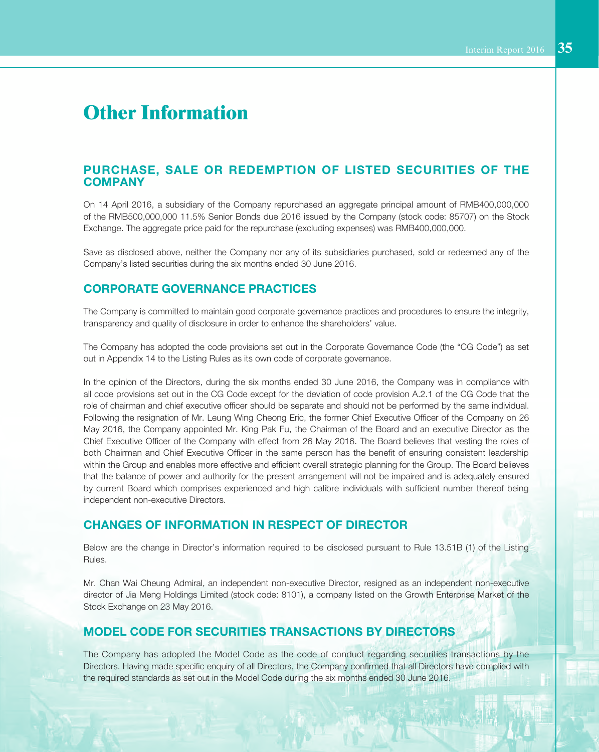#### PURCHASE, SALE OR REDEMPTION OF LISTED SECURITIES OF THE **COMPANY**

On 14 April 2016, a subsidiary of the Company repurchased an aggregate principal amount of RMB400,000,000 of the RMB500,000,000 11.5% Senior Bonds due 2016 issued by the Company (stock code: 85707) on the Stock Exchange. The aggregate price paid for the repurchase (excluding expenses) was RMB400,000,000.

Save as disclosed above, neither the Company nor any of its subsidiaries purchased, sold or redeemed any of the Company's listed securities during the six months ended 30 June 2016.

#### CORPORATE GOVERNANCE PRACTICES

The Company is committed to maintain good corporate governance practices and procedures to ensure the integrity, transparency and quality of disclosure in order to enhance the shareholders' value.

The Company has adopted the code provisions set out in the Corporate Governance Code (the "CG Code") as set out in Appendix 14 to the Listing Rules as its own code of corporate governance.

In the opinion of the Directors, during the six months ended 30 June 2016, the Company was in compliance with all code provisions set out in the CG Code except for the deviation of code provision A.2.1 of the CG Code that the role of chairman and chief executive officer should be separate and should not be performed by the same individual. Following the resignation of Mr. Leung Wing Cheong Eric, the former Chief Executive Officer of the Company on 26 May 2016, the Company appointed Mr. King Pak Fu, the Chairman of the Board and an executive Director as the Chief Executive Officer of the Company with effect from 26 May 2016. The Board believes that vesting the roles of both Chairman and Chief Executive Officer in the same person has the benefit of ensuring consistent leadership within the Group and enables more effective and efficient overall strategic planning for the Group. The Board believes that the balance of power and authority for the present arrangement will not be impaired and is adequately ensured by current Board which comprises experienced and high calibre individuals with sufficient number thereof being independent non-executive Directors.

#### CHANGES OF INFORMATION IN RESPECT OF DIRECTOR

Below are the change in Director's information required to be disclosed pursuant to Rule 13.51B (1) of the Listing Rules.

Mr. Chan Wai Cheung Admiral, an independent non-executive Director, resigned as an independent non-executive director of Jia Meng Holdings Limited (stock code: 8101), a company listed on the Growth Enterprise Market of the Stock Exchange on 23 May 2016.

### MODEL CODE FOR SECURITIES TRANSACTIONS BY DIRECTORS

The Company has adopted the Model Code as the code of conduct regarding securities transactions by the Directors. Having made specific enquiry of all Directors, the Company confirmed that all Directors have complied with the required standards as set out in the Model Code during the six months ended 30 June 2016.